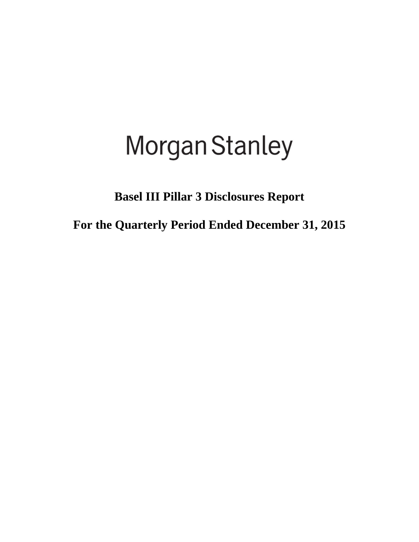# **Morgan Stanley**

**Basel III Pillar 3 Disclosures Report** 

**For the Quarterly Period Ended December 31, 2015**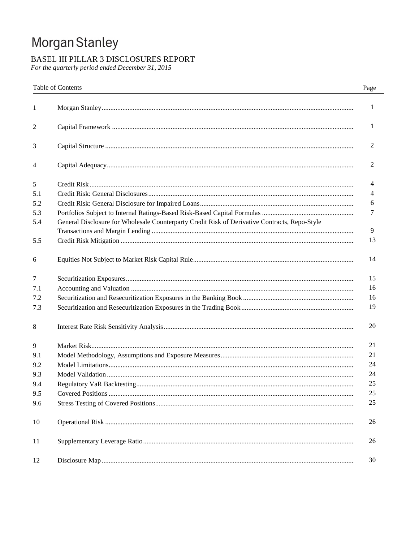# Morgan Stanley

# BASEL III PILLAR 3 DISCLOSURES REPORT

For the quarterly period ended December 31, 2015

|     | Table of Contents                                                                             | Page |
|-----|-----------------------------------------------------------------------------------------------|------|
| 1   |                                                                                               | 1    |
| 2   |                                                                                               | 1    |
| 3   |                                                                                               | 2    |
| 4   |                                                                                               | 2    |
| 5   |                                                                                               | 4    |
| 5.1 |                                                                                               | 4    |
| 5.2 |                                                                                               | 6    |
| 5.3 |                                                                                               | 7    |
| 5.4 | General Disclosure for Wholesale Counterparty Credit Risk of Derivative Contracts, Repo-Style | 9    |
| 5.5 |                                                                                               | 13   |
| 6   |                                                                                               | 14   |
| 7   |                                                                                               | 15   |
| 7.1 |                                                                                               | 16   |
| 7.2 |                                                                                               | 16   |
| 7.3 |                                                                                               | 19   |
| 8   |                                                                                               | 20   |
| 9   |                                                                                               | 21   |
| 9.1 |                                                                                               | 21   |
| 9.2 |                                                                                               | 24   |
| 9.3 |                                                                                               | 24   |
| 9.4 |                                                                                               | 25   |
| 9.5 |                                                                                               | 25   |
| 9.6 |                                                                                               | 25   |
| 10  |                                                                                               | 26   |
| 11  |                                                                                               | 26   |
| 12  |                                                                                               | 30   |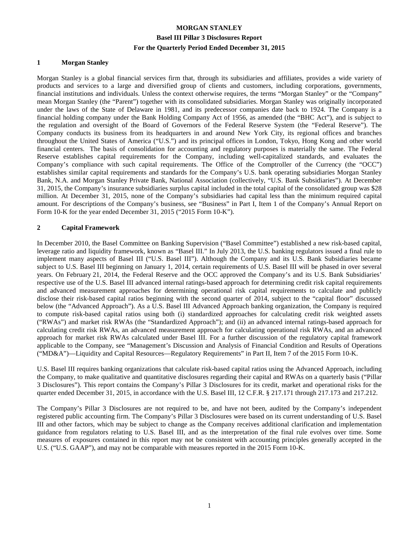#### **1 Morgan Stanley**

Morgan Stanley is a global financial services firm that, through its subsidiaries and affiliates, provides a wide variety of products and services to a large and diversified group of clients and customers, including corporations, governments, financial institutions and individuals. Unless the context otherwise requires, the terms "Morgan Stanley" or the "Company" mean Morgan Stanley (the "Parent") together with its consolidated subsidiaries. Morgan Stanley was originally incorporated under the laws of the State of Delaware in 1981, and its predecessor companies date back to 1924. The Company is a financial holding company under the Bank Holding Company Act of 1956, as amended (the "BHC Act"), and is subject to the regulation and oversight of the Board of Governors of the Federal Reserve System (the "Federal Reserve"). The Company conducts its business from its headquarters in and around New York City, its regional offices and branches throughout the United States of America ("U.S.") and its principal offices in London, Tokyo, Hong Kong and other world financial centers. The basis of consolidation for accounting and regulatory purposes is materially the same. The Federal Reserve establishes capital requirements for the Company, including well-capitalized standards, and evaluates the Company's compliance with such capital requirements. The Office of the Comptroller of the Currency (the "OCC") establishes similar capital requirements and standards for the Company's U.S. bank operating subsidiaries Morgan Stanley Bank, N.A. and Morgan Stanley Private Bank, National Association (collectively, "U.S. Bank Subsidiaries"). At December 31, 2015, the Company's insurance subsidiaries surplus capital included in the total capital of the consolidated group was \$28 million. At December 31, 2015, none of the Company's subsidiaries had capital less than the minimum required capital amount. For descriptions of the Company's business, see "Business" in Part I, Item 1 of the Company's Annual Report on Form 10-K for the year ended December 31, 2015 ("2015 Form 10-K").

#### **2 Capital Framework**

In December 2010, the Basel Committee on Banking Supervision ("Basel Committee") established a new risk-based capital, leverage ratio and liquidity framework, known as "Basel III." In July 2013, the U.S. banking regulators issued a final rule to implement many aspects of Basel III ("U.S. Basel III"). Although the Company and its U.S. Bank Subsidiaries became subject to U.S. Basel III beginning on January 1, 2014, certain requirements of U.S. Basel III will be phased in over several years. On February 21, 2014, the Federal Reserve and the OCC approved the Company's and its U.S. Bank Subsidiaries' respective use of the U.S. Basel III advanced internal ratings-based approach for determining credit risk capital requirements and advanced measurement approaches for determining operational risk capital requirements to calculate and publicly disclose their risk-based capital ratios beginning with the second quarter of 2014, subject to the "capital floor" discussed below (the "Advanced Approach"). As a U.S. Basel III Advanced Approach banking organization, the Company is required to compute risk-based capital ratios using both (i) standardized approaches for calculating credit risk weighted assets ("RWAs") and market risk RWAs (the "Standardized Approach"); and (ii) an advanced internal ratings-based approach for calculating credit risk RWAs, an advanced measurement approach for calculating operational risk RWAs, and an advanced approach for market risk RWAs calculated under Basel III. For a further discussion of the regulatory capital framework applicable to the Company, see "Management's Discussion and Analysis of Financial Condition and Results of Operations ("MD&A")—Liquidity and Capital Resources—Regulatory Requirements" in Part II, Item 7 of the 2015 Form 10-K.

U.S. Basel III requires banking organizations that calculate risk-based capital ratios using the Advanced Approach, including the Company, to make qualitative and quantitative disclosures regarding their capital and RWAs on a quarterly basis ("Pillar 3 Disclosures"). This report contains the Company's Pillar 3 Disclosures for its credit, market and operational risks for the quarter ended December 31, 2015, in accordance with the U.S. Basel III, 12 C.F.R. § 217.171 through 217.173 and 217.212.

The Company's Pillar 3 Disclosures are not required to be, and have not been, audited by the Company's independent registered public accounting firm. The Company's Pillar 3 Disclosures were based on its current understanding of U.S. Basel III and other factors, which may be subject to change as the Company receives additional clarification and implementation guidance from regulators relating to U.S. Basel III, and as the interpretation of the final rule evolves over time. Some measures of exposures contained in this report may not be consistent with accounting principles generally accepted in the U.S. ("U.S. GAAP"), and may not be comparable with measures reported in the 2015 Form 10-K.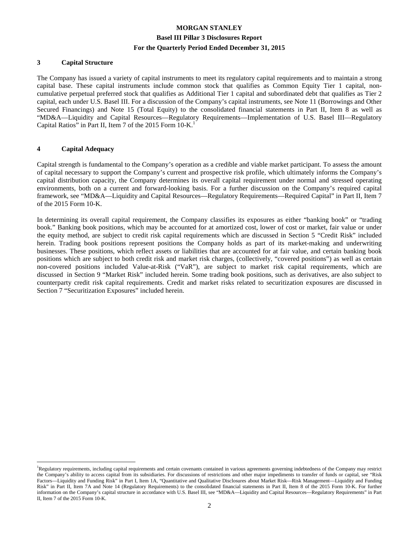#### **3 Capital Structure**

The Company has issued a variety of capital instruments to meet its regulatory capital requirements and to maintain a strong capital base. These capital instruments include common stock that qualifies as Common Equity Tier 1 capital, noncumulative perpetual preferred stock that qualifies as Additional Tier 1 capital and subordinated debt that qualifies as Tier 2 capital, each under U.S. Basel III. For a discussion of the Company's capital instruments, see Note 11 (Borrowings and Other Secured Financings) and Note 15 (Total Equity) to the consolidated financial statements in Part II, Item 8 as well as "MD&A—Liquidity and Capital Resources—Regulatory Requirements—Implementation of U.S. Basel III—Regulatory Capital Ratios" in Part II, Item 7 of the 2015 Form 10-K.<sup>1</sup>

#### **4 Capital Adequacy**

 $\overline{a}$ 

Capital strength is fundamental to the Company's operation as a credible and viable market participant. To assess the amount of capital necessary to support the Company's current and prospective risk profile, which ultimately informs the Company's capital distribution capacity, the Company determines its overall capital requirement under normal and stressed operating environments, both on a current and forward-looking basis. For a further discussion on the Company's required capital framework, see "MD&A—Liquidity and Capital Resources—Regulatory Requirements—Required Capital" in Part II, Item 7 of the 2015 Form 10-K.

In determining its overall capital requirement, the Company classifies its exposures as either "banking book" or "trading book." Banking book positions, which may be accounted for at amortized cost, lower of cost or market, fair value or under the equity method, are subject to credit risk capital requirements which are discussed in Section 5 "Credit Risk" included herein. Trading book positions represent positions the Company holds as part of its market-making and underwriting businesses. These positions, which reflect assets or liabilities that are accounted for at fair value, and certain banking book positions which are subject to both credit risk and market risk charges, (collectively, "covered positions") as well as certain non-covered positions included Value-at-Risk ("VaR"), are subject to market risk capital requirements, which are discussed in Section 9 "Market Risk" included herein. Some trading book positions, such as derivatives, are also subject to counterparty credit risk capital requirements. Credit and market risks related to securitization exposures are discussed in Section 7 "Securitization Exposures" included herein.

<sup>&</sup>lt;sup>1</sup>Regulatory requirements, including capital requirements and certain covenants contained in various agreements governing indebtedness of the Company may restrict the Company's ability to access capital from its subsidiaries. For discussions of restrictions and other major impediments to transfer of funds or capital, see "Risk Factors—Liquidity and Funding Risk" in Part I, Item 1A, "Quantitative and Qualitative Disclosures about Market Risk—Risk Management—Liquidity and Funding Risk" in Part II, Item 7A and Note 14 (Regulatory Requirements) to the consolidated financial statements in Part II, Item 8 of the 2015 Form 10-K. For further information on the Company's capital structure in accordance with U.S. Basel III, see "MD&A—Liquidity and Capital Resources—Regulatory Requirements" in Part II, Item 7 of the 2015 Form 10-K.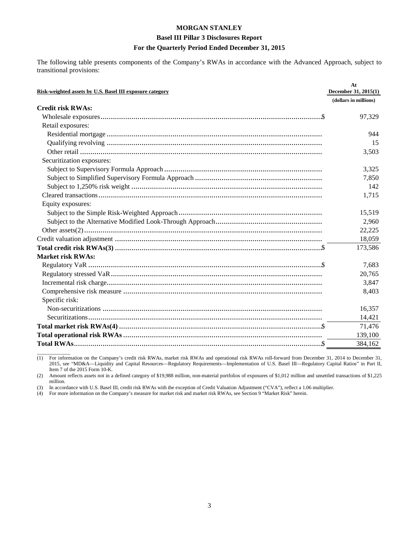#### **Basel III Pillar 3 Disclosures Report**

#### **For the Quarterly Period Ended December 31, 2015**

The following table presents components of the Company's RWAs in accordance with the Advanced Approach, subject to transitional provisions:

| Risk-weighted assets by U.S. Basel III exposure category | At<br>December 31, 2015(1) |
|----------------------------------------------------------|----------------------------|
|                                                          | (dollars in millions)      |
| <b>Credit risk RWAs:</b>                                 |                            |
|                                                          | 97,329                     |
| Retail exposures:                                        |                            |
|                                                          | 944                        |
|                                                          | 15                         |
|                                                          | 3,503                      |
| Securitization exposures:                                |                            |
|                                                          | 3,325                      |
|                                                          | 7,850                      |
|                                                          | 142                        |
|                                                          | 1,715                      |
| Equity exposures:                                        |                            |
|                                                          | 15,519                     |
|                                                          | 2,960                      |
|                                                          | 22,225                     |
|                                                          | 18,059                     |
|                                                          | 173,586                    |
| <b>Market risk RWAs:</b>                                 |                            |
|                                                          | 7,683                      |
|                                                          | 20,765                     |
|                                                          | 3,847                      |
|                                                          | 8,403                      |
| Specific risk:                                           |                            |
|                                                          | 16,357                     |
|                                                          | 14,421                     |
|                                                          | 71,476                     |
|                                                          | 139,100                    |
|                                                          | 384,162                    |

 $\overline{\phantom{a}}$  , where  $\overline{\phantom{a}}$ (1) For information on the Company's credit risk RWAs, market risk RWAs and operational risk RWAs roll-forward from December 31, 2014 to December 31, 2015, see "MD&A—Liquidity and Capital Resources—Regulatory Requirements—Implementation of U.S. Basel III—Regulatory Capital Ratios" in Part II, Item 7 of the 2015 Form 10-K.

(2) Amount reflects assets not in a defined category of \$19,988 million, non-material portfolios of exposures of \$1,012 million and unsettled transactions of \$1,225 million.

(3) In accordance with U.S. Basel III, credit risk RWAs with the exception of Credit Valuation Adjustment ("CVA"), reflect a 1.06 multiplier.

(4) For more information on the Company's measure for market risk and market risk RWAs, see Section 9 "Market Risk" herein.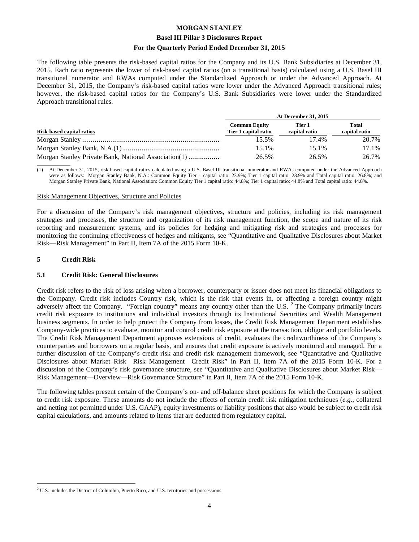#### **Basel III Pillar 3 Disclosures Report**

#### **For the Quarterly Period Ended December 31, 2015**

The following table presents the risk-based capital ratios for the Company and its U.S. Bank Subsidiaries at December 31, 2015. Each ratio represents the lower of risk-based capital ratios (on a transitional basis) calculated using a U.S. Basel III transitional numerator and RWAs computed under the Standardized Approach or under the Advanced Approach. At December 31, 2015, the Company's risk-based capital ratios were lower under the Advanced Approach transitional rules; however, the risk-based capital ratios for the Company's U.S. Bank Subsidiaries were lower under the Standardized Approach transitional rules.

|                                                      | <b>At December 31, 2015</b>                  |                         |                        |  |  |
|------------------------------------------------------|----------------------------------------------|-------------------------|------------------------|--|--|
| Risk-based capital ratios                            | <b>Common Equity</b><br>Tier 1 capital ratio | Tier 1<br>capital ratio | Total<br>capital ratio |  |  |
|                                                      | 15.5%                                        | 17.4%                   | 20.7%                  |  |  |
|                                                      | 15.1%                                        | 15.1%                   | 17.1%                  |  |  |
| Morgan Stanley Private Bank, National Association(1) | 26.5%                                        | 26.5%                   | 26.7%                  |  |  |

 $\overline{\phantom{a}}$  , where  $\overline{\phantom{a}}$ (1) At December 31, 2015, risk-based capital ratios calculated using a U.S. Basel III transitional numerator and RWAs computed under the Advanced Approach were as follows: Morgan Stanley Bank, N.A.: Common Equity Tier 1 capital ratio: 23.9%; Tier 1 capital ratio: 23.9% and Total capital ratio: 26.8%; and Morgan Stanley Private Bank, National Association: Common Equity Tier 1 capital ratio: 44.8%; Tier 1 capital ratio: 44.8% and Total capital ratio: 44.8%.

#### Risk Management Objectives, Structure and Policies

For a discussion of the Company's risk management objectives, structure and policies, including its risk management strategies and processes, the structure and organization of its risk management function, the scope and nature of its risk reporting and measurement systems, and its policies for hedging and mitigating risk and strategies and processes for monitoring the continuing effectiveness of hedges and mitigants, see "Quantitative and Qualitative Disclosures about Market Risk—Risk Management" in Part II, Item 7A of the 2015 Form 10-K.

#### **5 Credit Risk**

#### **5.1 Credit Risk: General Disclosures**

Credit risk refers to the risk of loss arising when a borrower, counterparty or issuer does not meet its financial obligations to the Company. Credit risk includes Country risk, which is the risk that events in, or affecting a foreign country might adversely affect the Company. "Foreign country" means any country other than the U.S.  $2^{\circ}$  The Company primarily incurs credit risk exposure to institutions and individual investors through its Institutional Securities and Wealth Management business segments. In order to help protect the Company from losses, the Credit Risk Management Department establishes Company-wide practices to evaluate, monitor and control credit risk exposure at the transaction, obligor and portfolio levels. The Credit Risk Management Department approves extensions of credit, evaluates the creditworthiness of the Company's counterparties and borrowers on a regular basis, and ensures that credit exposure is actively monitored and managed. For a further discussion of the Company's credit risk and credit risk management framework, see "Quantitative and Qualitative Disclosures about Market Risk—Risk Management—Credit Risk" in Part II, Item 7A of the 2015 Form 10-K. For a discussion of the Company's risk governance structure, see "Quantitative and Qualitative Disclosures about Market Risk— Risk Management—Overview—Risk Governance Structure" in Part II, Item 7A of the 2015 Form 10-K.

The following tables present certain of the Company's on- and off-balance sheet positions for which the Company is subject to credit risk exposure. These amounts do not include the effects of certain credit risk mitigation techniques (*e.g.*, collateral and netting not permitted under U.S. GAAP), equity investments or liability positions that also would be subject to credit risk capital calculations, and amounts related to items that are deducted from regulatory capital.

 $\overline{a}$  $2^2$  U.S. includes the District of Columbia, Puerto Rico, and U.S. territories and possessions.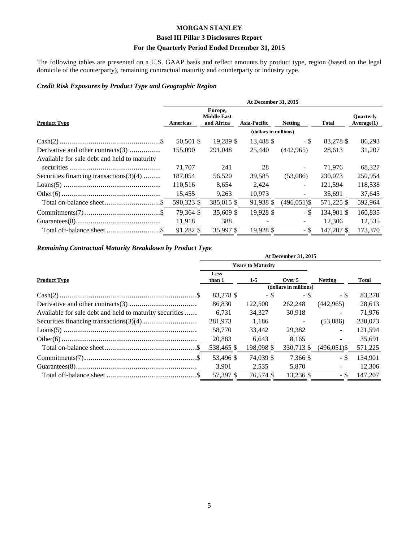# **Basel III Pillar 3 Disclosures Report**

# **For the Quarterly Period Ended December 31, 2015**

The following tables are presented on a U.S. GAAP basis and reflect amounts by product type, region (based on the legal domicile of the counterparty), remaining contractual maturity and counterparty or industry type.

#### *Credit Risk Exposures by Product Type and Geographic Region*

|                                              | <b>At December 31, 2015</b> |                                             |                     |                          |              |                                |  |  |  |
|----------------------------------------------|-----------------------------|---------------------------------------------|---------------------|--------------------------|--------------|--------------------------------|--|--|--|
| <b>Product Type</b>                          | Americas                    | Europe,<br><b>Middle East</b><br>and Africa | <b>Asia-Pacific</b> | <b>Netting</b>           | <b>Total</b> | <b>Ouarterly</b><br>Average(1) |  |  |  |
|                                              | (dollars in millions)       |                                             |                     |                          |              |                                |  |  |  |
|                                              | 50,501 \$                   | 19,289 \$                                   | 13,488 \$           | - \$                     | 83,278 \$    | 86,293                         |  |  |  |
| Derivative and other contracts(3)            | 155,090                     | 291,048                                     | 25,440              | (442, 965)               | 28.613       | 31,207                         |  |  |  |
| Available for sale debt and held to maturity |                             |                                             |                     |                          |              |                                |  |  |  |
|                                              | 71,707                      | 241                                         | 28                  |                          | 71,976       | 68,327                         |  |  |  |
| Securities financing transactions $(3)(4)$   | 187,054                     | 56,520                                      | 39,585              | (53,086)                 | 230,073      | 250,954                        |  |  |  |
|                                              | 110,516                     | 8,654                                       | 2,424               | $\overline{\phantom{0}}$ | 121,594      | 118,538                        |  |  |  |
|                                              | 15,455                      | 9,263                                       | 10,973              |                          | 35.691       | 37,645                         |  |  |  |
|                                              | 590,323 \$                  | 385,015 \$                                  | 91,938 \$           | $(496, 051)$ \$          | 571,225 \$   | 592,964                        |  |  |  |
|                                              | 79,364 \$                   | 35,609 \$                                   | 19,928 \$           | - \$                     | 134,901 \$   | 160,835                        |  |  |  |
|                                              | 11,918                      | 388                                         |                     |                          | 12,306       | 12,535                         |  |  |  |
|                                              | 91,282 \$                   | 35,997 \$                                   | 19,928 \$           | - \$                     | 147,207 \$   | 173,370                        |  |  |  |

# *Remaining Contractual Maturity Breakdown by Product Type*

|                                                         | <b>At December 31, 2015</b> |                          |                          |                          |         |  |  |  |
|---------------------------------------------------------|-----------------------------|--------------------------|--------------------------|--------------------------|---------|--|--|--|
|                                                         |                             | <b>Years to Maturity</b> |                          |                          |         |  |  |  |
| <b>Product Type</b>                                     | Less<br>than 1              | $1-5$                    | Over 5                   | <b>Netting</b>           | Total   |  |  |  |
|                                                         |                             |                          | (dollars in millions)    |                          |         |  |  |  |
|                                                         | 83,278 \$                   | - \$                     | - \$                     | - \$                     | 83,278  |  |  |  |
|                                                         | 86,830                      | 122,500                  | 262,248                  | (442,965)                | 28,613  |  |  |  |
| Available for sale debt and held to maturity securities | 6.731                       | 34.327                   | 30.918                   |                          | 71.976  |  |  |  |
|                                                         | 281,973                     | 1,186                    | $\overline{\phantom{m}}$ | (53,086)                 | 230,073 |  |  |  |
|                                                         | 58,770                      | 33,442                   | 29,382                   | $\overline{\phantom{0}}$ | 121,594 |  |  |  |
|                                                         | 20,883                      | 6,643                    | 8,165                    | $\blacksquare$           | 35,691  |  |  |  |
|                                                         | 538,465 \$                  | 198,098 \$               | 330,713 \$               | $(496,051)$ \$           | 571,225 |  |  |  |
|                                                         | 53.496 \$                   | 74.039 \$                | 7.366 \$                 | - \$                     | 134.901 |  |  |  |
|                                                         | 3.901                       | 2,535                    | 5,870                    |                          | 12,306  |  |  |  |
|                                                         | 57,397 \$                   | 76.574 \$                | 13,236 \$                | - \$                     | 147,207 |  |  |  |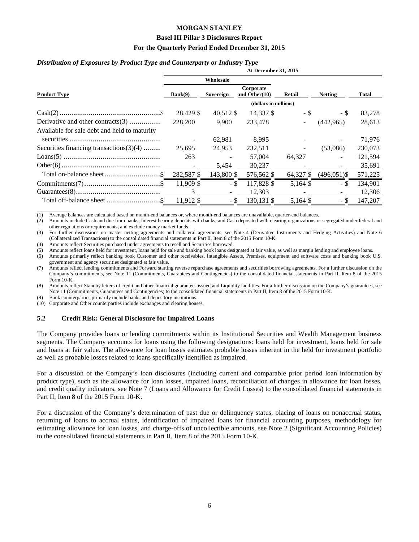#### **Basel III Pillar 3 Disclosures Report**

#### **For the Quarterly Period Ended December 31, 2015**

#### *Distribution of Exposures by Product Type and Counterparty or Industry Type*

|                                              | At December 31, 2015                               |            |                       |                |                |         |  |  |  |  |
|----------------------------------------------|----------------------------------------------------|------------|-----------------------|----------------|----------------|---------|--|--|--|--|
|                                              |                                                    | Wholesale  |                       |                |                |         |  |  |  |  |
| <b>Product Type</b>                          | Corporate<br>Bank(9)<br>Sovereign<br>and Other(10) |            | Retail                | <b>Netting</b> | <b>Total</b>   |         |  |  |  |  |
|                                              |                                                    |            | (dollars in millions) |                |                |         |  |  |  |  |
|                                              | 28.429 \$                                          | 40,512 \$  | 14.337 \$             | - \$           | - \$           | 83,278  |  |  |  |  |
| Derivative and other contracts(3)            | 228,200                                            | 9.900      | 233,478               | $\sim$         | (442, 965)     | 28,613  |  |  |  |  |
| Available for sale debt and held to maturity |                                                    |            |                       |                |                |         |  |  |  |  |
|                                              |                                                    | 62,981     | 8,995                 |                |                | 71,976  |  |  |  |  |
| Securities financing transactions $(3)(4)$   | 25.695                                             | 24.953     | 232,511               |                | (53,086)       | 230,073 |  |  |  |  |
|                                              | 263                                                |            | 57,004                | 64.327         |                | 121,594 |  |  |  |  |
|                                              |                                                    | 5,454      | 30,237                |                |                | 35,691  |  |  |  |  |
|                                              | 282,587 \$                                         | 143,800 \$ | 576,562 \$            | 64,327 \$      | $(496,051)$ \$ | 571,225 |  |  |  |  |
|                                              | 11,909 \$                                          | - \$       | 117,828 \$            | $5,164$ \$     | - \$           | 134,901 |  |  |  |  |
|                                              | 3                                                  |            | 12,303                |                |                | 12,306  |  |  |  |  |
|                                              | 11,912 \$                                          | - \$       | 130,131 \$            | 5,164 \$       | - \$           | 147,207 |  |  |  |  |

 $\overline{\phantom{a}}$  , where  $\overline{\phantom{a}}$ (1) Average balances are calculated based on month-end balances or, where month-end balances are unavailable, quarter-end balances.

(2) Amounts include Cash and due from banks, Interest bearing deposits with banks, and Cash deposited with clearing organizations or segregated under federal and other regulations or requirements, and exclude money market funds.

(3) For further discussions on master netting agreements and collateral agreements, see Note 4 (Derivative Instruments and Hedging Activities) and Note 6 (Collateralized Transactions) to the consolidated financial statements in Part II, Item 8 of the 2015 Form 10-K.

(4) Amounts reflect Securities purchased under agreements to resell and Securities borrowed.

(5) Amounts reflect loans held for investment, loans held for sale and banking book loans designated at fair value, as well as margin lending and employee loans.

(6) Amounts primarily reflect banking book Customer and other receivables, Intangible Assets, Premises, equipment and software costs and banking book U.S. government and agency securities designated at fair value.

(7) Amounts reflect lending commitments and Forward starting reverse repurchase agreements and securities borrowing agreements. For a further discussion on the Company's commitments, see Note 11 (Commitments, Guarantees and Contingencies) to the consolidated financial statements in Part II, Item 8 of the 2015 Form 10-K.

(8) Amounts reflect Standby letters of credit and other financial guarantees issued and Liquidity facilities. For a further discussion on the Company's guarantees, see Note 11 (Commitments, Guarantees and Contingencies) to the consolidated financial statements in Part II, Item 8 of the 2015 Form 10-K.

(9) Bank counterparties primarily include banks and depository institutions.

(10) Corporate and Other counterparties include exchanges and clearing houses.

#### **5.2 Credit Risk: General Disclosure for Impaired Loans**

The Company provides loans or lending commitments within its Institutional Securities and Wealth Management business segments. The Company accounts for loans using the following designations: loans held for investment, loans held for sale and loans at fair value. The allowance for loan losses estimates probable losses inherent in the held for investment portfolio as well as probable losses related to loans specifically identified as impaired.

For a discussion of the Company's loan disclosures (including current and comparable prior period loan information by product type), such as the allowance for loan losses, impaired loans, reconciliation of changes in allowance for loan losses, and credit quality indicators, see Note 7 (Loans and Allowance for Credit Losses) to the consolidated financial statements in Part II, Item 8 of the 2015 Form 10-K.

For a discussion of the Company's determination of past due or delinquency status, placing of loans on nonaccrual status, returning of loans to accrual status, identification of impaired loans for financial accounting purposes, methodology for estimating allowance for loan losses, and charge-offs of uncollectible amounts, see Note 2 (Significant Accounting Policies) to the consolidated financial statements in Part II, Item 8 of the 2015 Form 10-K.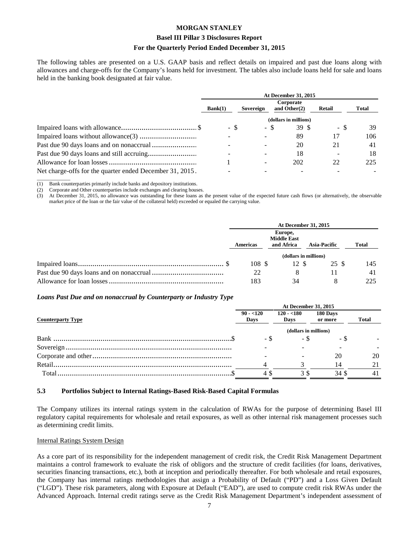#### **Basel III Pillar 3 Disclosures Report**

#### **For the Quarterly Period Ended December 31, 2015**

The following tables are presented on a U.S. GAAP basis and reflect details on impaired and past due loans along with allowances and charge-offs for the Company's loans held for investment. The tables also include loans held for sale and loans held in the banking book designated at fair value.

|                                                          | At December 31, 2015 |           |                              |                       |        |       |  |  |  |
|----------------------------------------------------------|----------------------|-----------|------------------------------|-----------------------|--------|-------|--|--|--|
|                                                          | Bank(1)              | Sovereign | Corporate<br>and Other $(2)$ |                       | Retail | Total |  |  |  |
|                                                          |                      |           |                              | (dollars in millions) |        |       |  |  |  |
|                                                          | - \$                 |           | - S                          | 39 S                  | - \$   | 39    |  |  |  |
|                                                          |                      |           |                              | 89                    | 17     | 106   |  |  |  |
|                                                          |                      |           |                              | 20                    | 21     | 41    |  |  |  |
|                                                          |                      |           |                              | 18                    |        | 18    |  |  |  |
|                                                          |                      |           |                              | 202                   | 22     | 225   |  |  |  |
| Net charge-offs for the quarter ended December 31, 2015. |                      |           |                              |                       |        |       |  |  |  |

 $\overline{\phantom{a}}$  , where  $\overline{\phantom{a}}$ (1) Bank counterparties primarily include banks and depository institutions.

(2) Corporate and Other counterparties include exchanges and clearing houses.

(3) At December 31, 2015, no allowance was outstanding for these loans as the present value of the expected future cash flows (or alternatively, the observable market price of the loan or the fair value of the collateral held) exceeded or equaled the carrying value.

| At December 31, 2015 |                                             |                       |              |  |  |  |
|----------------------|---------------------------------------------|-----------------------|--------------|--|--|--|
| <b>Americas</b>      | Europe,<br><b>Middle East</b><br>and Africa | <b>Asia-Pacific</b>   | <b>Total</b> |  |  |  |
|                      |                                             | (dollars in millions) |              |  |  |  |
| 108S                 | 12 \$                                       | 25 S                  | 145          |  |  |  |
| 22                   |                                             |                       |              |  |  |  |
| 183                  | 34                                          |                       | 225          |  |  |  |

#### *Loans Past Due and on nonaccrual by Counterparty or Industry Type*

|                          | <b>At December 31, 2015</b> |                       |                     |              |  |  |  |  |
|--------------------------|-----------------------------|-----------------------|---------------------|--------------|--|--|--|--|
| <b>Counterparty Type</b> | $90 - 120$<br>Days          | $120 - 180$<br>Days   | 180 Days<br>or more | <b>Total</b> |  |  |  |  |
|                          |                             | (dollars in millions) |                     |              |  |  |  |  |
|                          |                             |                       | - ა                 |              |  |  |  |  |
|                          |                             |                       |                     |              |  |  |  |  |
|                          |                             |                       | 20                  | 20           |  |  |  |  |
|                          |                             |                       | 14                  | 21           |  |  |  |  |
|                          | 4 S                         | 3 S                   | 34 S                | 41           |  |  |  |  |

#### **5.3 Portfolios Subject to Internal Ratings-Based Risk-Based Capital Formulas**

The Company utilizes its internal ratings system in the calculation of RWAs for the purpose of determining Basel III regulatory capital requirements for wholesale and retail exposures, as well as other internal risk management processes such as determining credit limits.

#### Internal Ratings System Design

As a core part of its responsibility for the independent management of credit risk, the Credit Risk Management Department maintains a control framework to evaluate the risk of obligors and the structure of credit facilities (for loans, derivatives, securities financing transactions, etc.), both at inception and periodically thereafter. For both wholesale and retail exposures, the Company has internal ratings methodologies that assign a Probability of Default ("PD") and a Loss Given Default ("LGD"). These risk parameters, along with Exposure at Default ("EAD"), are used to compute credit risk RWAs under the Advanced Approach. Internal credit ratings serve as the Credit Risk Management Department's independent assessment of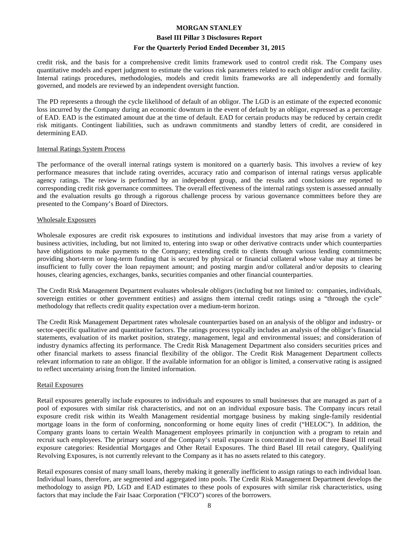#### **Basel III Pillar 3 Disclosures Report**

#### **For the Quarterly Period Ended December 31, 2015**

credit risk, and the basis for a comprehensive credit limits framework used to control credit risk. The Company uses quantitative models and expert judgment to estimate the various risk parameters related to each obligor and/or credit facility. Internal ratings procedures, methodologies, models and credit limits frameworks are all independently and formally governed, and models are reviewed by an independent oversight function.

The PD represents a through the cycle likelihood of default of an obligor. The LGD is an estimate of the expected economic loss incurred by the Company during an economic downturn in the event of default by an obligor, expressed as a percentage of EAD. EAD is the estimated amount due at the time of default. EAD for certain products may be reduced by certain credit risk mitigants. Contingent liabilities, such as undrawn commitments and standby letters of credit, are considered in determining EAD.

#### Internal Ratings System Process

The performance of the overall internal ratings system is monitored on a quarterly basis. This involves a review of key performance measures that include rating overrides, accuracy ratio and comparison of internal ratings versus applicable agency ratings. The review is performed by an independent group, and the results and conclusions are reported to corresponding credit risk governance committees. The overall effectiveness of the internal ratings system is assessed annually and the evaluation results go through a rigorous challenge process by various governance committees before they are presented to the Company's Board of Directors.

#### Wholesale Exposures

Wholesale exposures are credit risk exposures to institutions and individual investors that may arise from a variety of business activities, including, but not limited to, entering into swap or other derivative contracts under which counterparties have obligations to make payments to the Company; extending credit to clients through various lending commitments; providing short-term or long-term funding that is secured by physical or financial collateral whose value may at times be insufficient to fully cover the loan repayment amount; and posting margin and/or collateral and/or deposits to clearing houses, clearing agencies, exchanges, banks, securities companies and other financial counterparties.

The Credit Risk Management Department evaluates wholesale obligors (including but not limited to: companies, individuals, sovereign entities or other government entities) and assigns them internal credit ratings using a "through the cycle" methodology that reflects credit quality expectation over a medium-term horizon.

The Credit Risk Management Department rates wholesale counterparties based on an analysis of the obligor and industry- or sector-specific qualitative and quantitative factors. The ratings process typically includes an analysis of the obligor's financial statements, evaluation of its market position, strategy, management, legal and environmental issues; and consideration of industry dynamics affecting its performance. The Credit Risk Management Department also considers securities prices and other financial markets to assess financial flexibility of the obligor. The Credit Risk Management Department collects relevant information to rate an obligor. If the available information for an obligor is limited, a conservative rating is assigned to reflect uncertainty arising from the limited information.

#### Retail Exposures

Retail exposures generally include exposures to individuals and exposures to small businesses that are managed as part of a pool of exposures with similar risk characteristics, and not on an individual exposure basis. The Company incurs retail exposure credit risk within its Wealth Management residential mortgage business by making single-family residential mortgage loans in the form of conforming, nonconforming or home equity lines of credit ("HELOC"). In addition, the Company grants loans to certain Wealth Management employees primarily in conjunction with a program to retain and recruit such employees. The primary source of the Company's retail exposure is concentrated in two of three Basel III retail exposure categories: Residential Mortgages and Other Retail Exposures. The third Basel III retail category, Qualifying Revolving Exposures, is not currently relevant to the Company as it has no assets related to this category.

Retail exposures consist of many small loans, thereby making it generally inefficient to assign ratings to each individual loan. Individual loans, therefore, are segmented and aggregated into pools. The Credit Risk Management Department develops the methodology to assign PD, LGD and EAD estimates to these pools of exposures with similar risk characteristics, using factors that may include the Fair Isaac Corporation ("FICO") scores of the borrowers.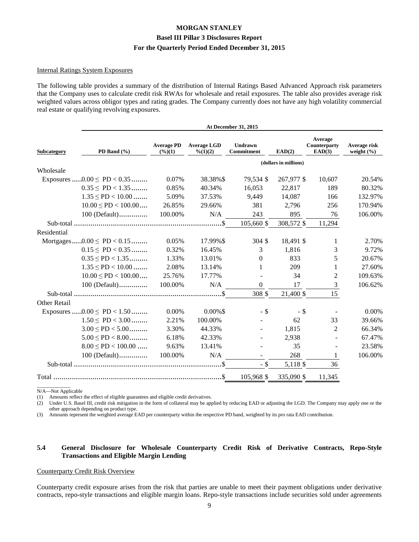#### Internal Ratings System Exposures

The following table provides a summary of the distribution of Internal Ratings Based Advanced Approach risk parameters that the Company uses to calculate credit risk RWAs for wholesale and retail exposures. The table also provides average risk weighted values across obligor types and rating grades. The Company currently does not have any high volatility commercial real estate or qualifying revolving exposures.

|              | At December 31, 2015                   |         |                                |                              |                       |                                   |                                |  |  |  |
|--------------|----------------------------------------|---------|--------------------------------|------------------------------|-----------------------|-----------------------------------|--------------------------------|--|--|--|
| Subcategory  | PD Band (%)                            |         | <b>Average LGD</b><br>% (1)(2) | <b>Undrawn</b><br>Commitment | EAD(2)                | Average<br>Counterparty<br>EAD(3) | Average risk<br>weight $(\% )$ |  |  |  |
|              |                                        |         |                                |                              | (dollars in millions) |                                   |                                |  |  |  |
| Wholesale    |                                        |         |                                |                              |                       |                                   |                                |  |  |  |
|              | Exposures $0.00 \leq \text{PD} < 0.35$ | 0.07%   | 38.38%\$                       | 79,534 \$                    | 267,977 \$            | 10,607                            | 20.54%                         |  |  |  |
|              | $0.35 \leq P D < 1.35$                 | 0.85%   | 40.34%                         | 16,053                       | 22,817                | 189                               | 80.32%                         |  |  |  |
|              | $1.35 \leq PD < 10.00$                 | 5.09%   | 37.53%                         | 9,449                        | 14,087                | 166                               | 132.97%                        |  |  |  |
|              | $10.00 \leq PD < 100.00 \ldots$        | 26.85%  | 29.66%                         | 381                          | 2,796                 | 256                               | 170.94%                        |  |  |  |
|              | $100$ (Default)                        | 100.00% | N/A                            | 243                          | 895                   | 76                                | 106.00%                        |  |  |  |
|              |                                        |         | $.$ \$                         | 105,660 \$                   | 308,572 \$            | 11,294                            |                                |  |  |  |
| Residential  |                                        |         |                                |                              |                       |                                   |                                |  |  |  |
|              | Mortgages $0.00 \leq PD < 0.15$        | 0.05%   | 17.99%\$                       | 304 \$                       | 18,491 \$             | 1                                 | 2.70%                          |  |  |  |
|              | $0.15 \leq P D < 0.35$                 | 0.32%   | 16.45%                         | 3                            | 1,816                 | 3                                 | 9.72%                          |  |  |  |
|              | $0.35 \leq P D < 1.35$                 | 1.33%   | 13.01%                         | $\theta$                     | 833                   | 5                                 | 20.67%                         |  |  |  |
|              | $1.35 \leq PD < 10.00$                 | 2.08%   | 13.14%                         | 1                            | 209                   | 1                                 | 27.60%                         |  |  |  |
|              | $10.00 \leq PD < 100.00 \ldots$        | 25.76%  | 17.77%                         |                              | 34                    | $\overline{c}$                    | 109.63%                        |  |  |  |
|              | $100$ (Default)                        | 100.00% | N/A                            | $\boldsymbol{0}$             | 17                    | 3                                 | 106.62%                        |  |  |  |
|              |                                        |         |                                | 308 \$                       | 21,400 \$             | 15                                |                                |  |  |  |
| Other Retail |                                        |         |                                |                              |                       |                                   |                                |  |  |  |
|              | Exposures $0.00 \leq \text{PD} < 1.50$ | 0.00%   | $0.00\%$ \$                    | $-$ \$                       | $-$ \$                |                                   | 0.00%                          |  |  |  |
|              | $1.50 \leq PD < 3.00$                  | 2.21%   | 100.00%                        |                              | 62                    | 33                                | 39.66%                         |  |  |  |
|              | $3.00 \leq PD < 5.00$                  | 3.30%   | 44.33%                         |                              | 1,815                 | $\overline{2}$                    | 66.34%                         |  |  |  |
|              | $5.00 \leq PD < 8.00$                  | 6.18%   | 42.33%                         |                              | 2,938                 |                                   | 67.47%                         |  |  |  |
|              | $8.00 \leq PD < 100.00$                | 9.63%   | 13.41%                         |                              | 35                    |                                   | 23.58%                         |  |  |  |
|              | 100 (Default)                          | 100.00% | N/A                            | $\overline{\phantom{a}}$     | 268                   | 1                                 | 106.00%                        |  |  |  |
|              |                                        |         |                                | $-$ \$                       | 5,118 \$              | 36                                |                                |  |  |  |
|              |                                        |         |                                | 105,968 \$                   | 335,090 \$            | 11,345                            |                                |  |  |  |

 $\overline{\phantom{a}}$  , where  $\overline{\phantom{a}}$ N/A—Not Applicable

(1) Amounts reflect the effect of eligible guarantees and eligible credit derivatives.

(2) Under U.S. Basel III, credit risk mitigation in the form of collateral may be applied by reducing EAD or adjusting the LGD. The Company may apply one or the other approach depending on product type.

(3) Amounts represent the weighted average EAD per counterparty within the respective PD band, weighted by its pro rata EAD contribution.

#### **5.4 General Disclosure for Wholesale Counterparty Credit Risk of Derivative Contracts, Repo-Style Transactions and Eligible Margin Lending**

#### Counterparty Credit Risk Overview

Counterparty credit exposure arises from the risk that parties are unable to meet their payment obligations under derivative contracts, repo-style transactions and eligible margin loans. Repo-style transactions include securities sold under agreements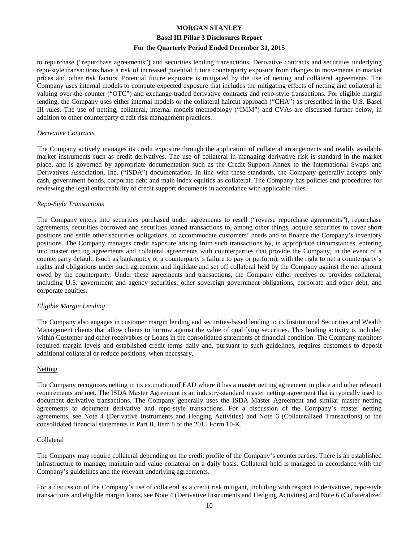#### **Basel III Pillar 3 Disclosures Report**

#### **For the Quarterly Period Ended December 31, 2015**

to repurchase ("repurchase agreements") and securities lending transactions. Derivative contracts and securities underlying repo-style transactions have a risk of increased potential future counterparty exposure from changes in movements in market prices and other risk factors. Potential future exposure is mitigated by the use of netting and collateral agreements. The Company uses internal models to compute expected exposure that includes the mitigating effects of netting and collateral in valuing over-the-counter ("OTC") and exchange-traded derivative contracts and repo-style transactions. For eligible margin lending, the Company uses either internal models or the collateral haircut approach ("CHA") as prescribed in the U.S. Basel III rules. The use of netting, collateral, internal models methodology ("IMM") and CVAs are discussed further below, in addition to other counterparty credit risk management practices.

#### *Derivative Contracts*

The Company actively manages its credit exposure through the application of collateral arrangements and readily available market instruments such as credit derivatives. The use of collateral in managing derivative risk is standard in the market place, and is governed by appropriate documentation such as the Credit Support Annex to the International Swaps and Derivatives Association, Inc. ("ISDA") documentation. In line with these standards, the Company generally accepts only cash, government bonds, corporate debt and main index equities as collateral. The Company has policies and procedures for reviewing the legal enforceability of credit support documents in accordance with applicable rules.

#### *Repo-Style Transactions*

The Company enters into securities purchased under agreements to resell ("reverse repurchase agreements"), repurchase agreements, securities borrowed and securities loaned transactions to, among other things, acquire securities to cover short positions and settle other securities obligations, to accommodate customers' needs and to finance the Company's inventory positions. The Company manages credit exposure arising from such transactions by, in appropriate circumstances, entering into master netting agreements and collateral agreements with counterparties that provide the Company, in the event of a counterparty default, (such as bankruptcy or a counterparty's failure to pay or perform), with the right to net a counterparty's rights and obligations under such agreement and liquidate and set off collateral held by the Company against the net amount owed by the counterparty. Under these agreements and transactions, the Company either receives or provides collateral, including U.S. government and agency securities, other sovereign government obligations, corporate and other debt, and corporate equities.

#### *Eligible Margin Lending*

The Company also engages in customer margin lending and securities-based lending to its Institutional Securities and Wealth Management clients that allow clients to borrow against the value of qualifying securities. This lending activity is included within Customer and other receivables or Loans in the consolidated statements of financial condition. The Company monitors required margin levels and established credit terms daily and, pursuant to such guidelines, requires customers to deposit additional collateral or reduce positions, when necessary.

#### **Netting**

The Company recognizes netting in its estimation of EAD where it has a master netting agreement in place and other relevant requirements are met. The ISDA Master Agreement is an industry-standard master netting agreement that is typically used to document derivative transactions. The Company generally uses the ISDA Master Agreement and similar master netting agreements to document derivative and repo-style transactions. For a discussion of the Company's master netting agreements, see Note 4 (Derivative Instruments and Hedging Activities) and Note 6 (Collateralized Transactions) to the consolidated financial statements in Part II, Item 8 of the 2015 Form 10-K.

#### Collateral

The Company may require collateral depending on the credit profile of the Company's counterparties. There is an established infrastructure to manage, maintain and value collateral on a daily basis. Collateral held is managed in accordance with the Company's guidelines and the relevant underlying agreements.

For a discussion of the Company's use of collateral as a credit risk mitigant, including with respect to derivatives, repo-style transactions and eligible margin loans, see Note 4 (Derivative Instruments and Hedging Activities) and Note 6 (Collateralized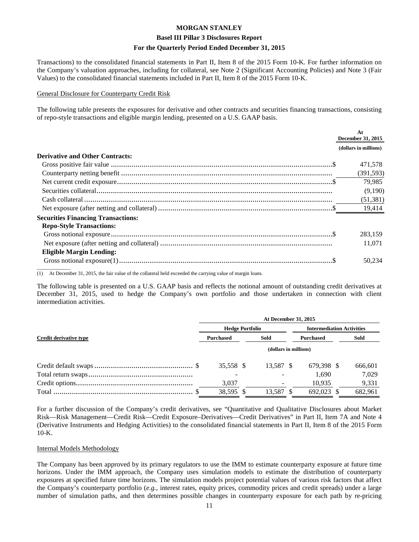#### **Basel III Pillar 3 Disclosures Report**

#### **For the Quarterly Period Ended December 31, 2015**

Transactions) to the consolidated financial statements in Part II, Item 8 of the 2015 Form 10-K. For further information on the Company's valuation approaches, including for collateral, see Note 2 (Significant Accounting Policies) and Note 3 (Fair Values) to the consolidated financial statements included in Part II, Item 8 of the 2015 Form 10-K.

#### General Disclosure for Counterparty Credit Risk

The following table presents the exposures for derivative and other contracts and securities financing transactions, consisting of repo-style transactions and eligible margin lending, presented on a U.S. GAAP basis.

|                                           | At<br>December 31, 2015 |
|-------------------------------------------|-------------------------|
|                                           | (dollars in millions)   |
| <b>Derivative and Other Contracts:</b>    |                         |
|                                           | 471,578                 |
|                                           | (391, 593)              |
|                                           | 79,985                  |
|                                           | (9,190)                 |
|                                           | (51, 381)               |
|                                           | 19,414                  |
| <b>Securities Financing Transactions:</b> |                         |
| <b>Repo-Style Transactions:</b>           |                         |
|                                           | 283.159                 |
|                                           | 11,071                  |
| <b>Eligible Margin Lending:</b>           |                         |
|                                           | 50.234                  |

(1) At December 31, 2015, the fair value of the collateral held exceeded the carrying value of margin loans.

The following table is presented on a U.S. GAAP basis and reflects the notional amount of outstanding credit derivatives at December 31, 2015, used to hedge the Company's own portfolio and those undertaken in connection with client intermediation activities.

|                        | At December 31, 2015     |  |           |                  |                                  |  |         |  |  |
|------------------------|--------------------------|--|-----------|------------------|----------------------------------|--|---------|--|--|
|                        | <b>Hedge Portfolio</b>   |  |           |                  | <b>Intermediation Activities</b> |  |         |  |  |
| Credit derivative type | Sold<br><b>Purchased</b> |  |           | <b>Purchased</b> |                                  |  | Sold    |  |  |
|                        | (dollars in millions)    |  |           |                  |                                  |  |         |  |  |
|                        | 35,558 \$                |  | 13,587 \$ |                  | 679.398 \$                       |  | 666,601 |  |  |
|                        |                          |  |           |                  | 1.690                            |  | 7,029   |  |  |
|                        | 3,037                    |  |           |                  | 10.935                           |  | 9,331   |  |  |
|                        | 38,595 \$                |  | 13,587    |                  | 692,023                          |  | 682,961 |  |  |

For a further discussion of the Company's credit derivatives, see "Quantitative and Qualitative Disclosures about Market Risk—Risk Management—Credit Risk—Credit Exposure–Derivatives—Credit Derivatives" in Part II, Item 7A and Note 4 (Derivative Instruments and Hedging Activities) to the consolidated financial statements in Part II, Item 8 of the 2015 Form 10-K.

#### Internal Models Methodology

The Company has been approved by its primary regulators to use the IMM to estimate counterparty exposure at future time horizons. Under the IMM approach, the Company uses simulation models to estimate the distribution of counterparty exposures at specified future time horizons. The simulation models project potential values of various risk factors that affect the Company's counterparty portfolio (*e.g.*, interest rates, equity prices, commodity prices and credit spreads) under a large number of simulation paths, and then determines possible changes in counterparty exposure for each path by re-pricing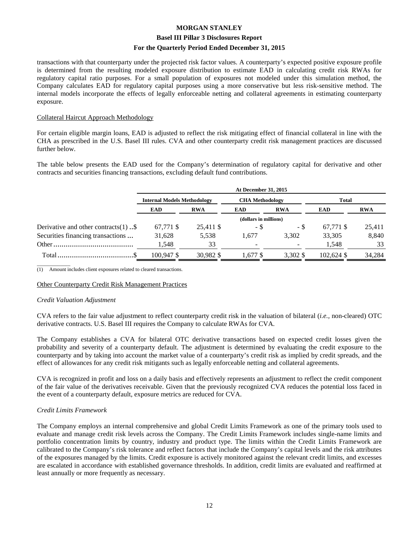#### **Basel III Pillar 3 Disclosures Report**

#### **For the Quarterly Period Ended December 31, 2015**

transactions with that counterparty under the projected risk factor values. A counterparty's expected positive exposure profile is determined from the resulting modeled exposure distribution to estimate EAD in calculating credit risk RWAs for regulatory capital ratio purposes. For a small population of exposures not modeled under this simulation method, the Company calculates EAD for regulatory capital purposes using a more conservative but less risk-sensitive method. The internal models incorporate the effects of legally enforceable netting and collateral agreements in estimating counterparty exposure.

#### Collateral Haircut Approach Methodology

For certain eligible margin loans, EAD is adjusted to reflect the risk mitigating effect of financial collateral in line with the CHA as prescribed in the U.S. Basel III rules. CVA and other counterparty credit risk management practices are discussed further below.

The table below presents the EAD used for the Company's determination of regulatory capital for derivative and other contracts and securities financing transactions, excluding default fund contributions.

|                                         | <b>At December 31, 2015</b>        |            |                          |                        |            |            |  |  |
|-----------------------------------------|------------------------------------|------------|--------------------------|------------------------|------------|------------|--|--|
|                                         | <b>Internal Models Methodology</b> |            |                          | <b>CHA Methodology</b> |            |            |  |  |
|                                         | <b>EAD</b>                         | <b>RWA</b> | <b>EAD</b>               | <b>RWA</b>             | <b>EAD</b> | <b>RWA</b> |  |  |
|                                         |                                    |            | (dollars in millions)    |                        |            |            |  |  |
| Derivative and other contracts $(1)$ \$ | 67,771 \$                          | 25,411 \$  | - \$                     | - \$                   | 67,771 \$  | 25.411     |  |  |
| Securities financing transactions       | 31,628                             | 5,538      | 1.677                    | 3.302                  | 33,305     | 8,840      |  |  |
|                                         | 1,548                              | 33         | $\overline{\phantom{0}}$ |                        | 1,548      | 33         |  |  |
| Total.                                  | 100.947 \$                         | 30.982 \$  | l.677 \$                 | 3.302 \$               | 102.624 \$ | 34.284     |  |  |

 $\overline{\phantom{a}}$  , where  $\overline{\phantom{a}}$ (1) Amount includes client exposures related to cleared transactions.

#### Other Counterparty Credit Risk Management Practices

#### *Credit Valuation Adjustment*

CVA refers to the fair value adjustment to reflect counterparty credit risk in the valuation of bilateral (*i.e.,* non-cleared) OTC derivative contracts. U.S. Basel III requires the Company to calculate RWAs for CVA.

The Company establishes a CVA for bilateral OTC derivative transactions based on expected credit losses given the probability and severity of a counterparty default. The adjustment is determined by evaluating the credit exposure to the counterparty and by taking into account the market value of a counterparty's credit risk as implied by credit spreads, and the effect of allowances for any credit risk mitigants such as legally enforceable netting and collateral agreements.

CVA is recognized in profit and loss on a daily basis and effectively represents an adjustment to reflect the credit component of the fair value of the derivatives receivable. Given that the previously recognized CVA reduces the potential loss faced in the event of a counterparty default, exposure metrics are reduced for CVA.

#### *Credit Limits Framework*

The Company employs an internal comprehensive and global Credit Limits Framework as one of the primary tools used to evaluate and manage credit risk levels across the Company. The Credit Limits Framework includes single-name limits and portfolio concentration limits by country, industry and product type. The limits within the Credit Limits Framework are calibrated to the Company's risk tolerance and reflect factors that include the Company's capital levels and the risk attributes of the exposures managed by the limits. Credit exposure is actively monitored against the relevant credit limits, and excesses are escalated in accordance with established governance thresholds. In addition, credit limits are evaluated and reaffirmed at least annually or more frequently as necessary.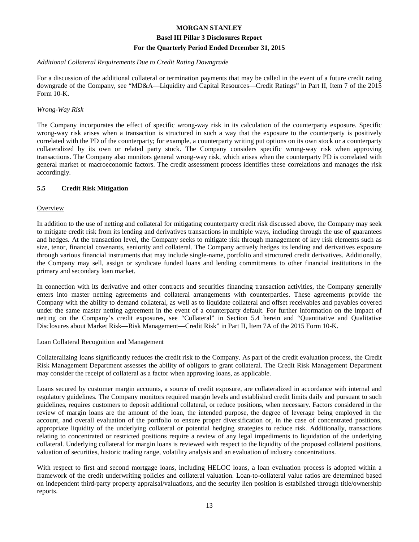# **Basel III Pillar 3 Disclosures Report**

#### **For the Quarterly Period Ended December 31, 2015**

#### *Additional Collateral Requirements Due to Credit Rating Downgrade*

For a discussion of the additional collateral or termination payments that may be called in the event of a future credit rating downgrade of the Company, see "MD&A—Liquidity and Capital Resources—Credit Ratings" in Part II, Item 7 of the 2015 Form 10-K.

# *Wrong-Way Risk*

The Company incorporates the effect of specific wrong-way risk in its calculation of the counterparty exposure. Specific wrong-way risk arises when a transaction is structured in such a way that the exposure to the counterparty is positively correlated with the PD of the counterparty; for example, a counterparty writing put options on its own stock or a counterparty collateralized by its own or related party stock. The Company considers specific wrong-way risk when approving transactions. The Company also monitors general wrong-way risk, which arises when the counterparty PD is correlated with general market or macroeconomic factors. The credit assessment process identifies these correlations and manages the risk accordingly.

# **5.5 Credit Risk Mitigation**

# **Overview**

In addition to the use of netting and collateral for mitigating counterparty credit risk discussed above, the Company may seek to mitigate credit risk from its lending and derivatives transactions in multiple ways, including through the use of guarantees and hedges. At the transaction level, the Company seeks to mitigate risk through management of key risk elements such as size, tenor, financial covenants, seniority and collateral. The Company actively hedges its lending and derivatives exposure through various financial instruments that may include single-name, portfolio and structured credit derivatives. Additionally, the Company may sell, assign or syndicate funded loans and lending commitments to other financial institutions in the primary and secondary loan market.

In connection with its derivative and other contracts and securities financing transaction activities, the Company generally enters into master netting agreements and collateral arrangements with counterparties. These agreements provide the Company with the ability to demand collateral, as well as to liquidate collateral and offset receivables and payables covered under the same master netting agreement in the event of a counterparty default. For further information on the impact of netting on the Company's credit exposures, see "Collateral" in Section 5.4 herein and "Quantitative and Qualitative Disclosures about Market Risk—Risk Management—Credit Risk" in Part II, Item 7A of the 2015 Form 10-K.

#### Loan Collateral Recognition and Management

Collateralizing loans significantly reduces the credit risk to the Company. As part of the credit evaluation process, the Credit Risk Management Department assesses the ability of obligors to grant collateral. The Credit Risk Management Department may consider the receipt of collateral as a factor when approving loans, as applicable.

Loans secured by customer margin accounts, a source of credit exposure, are collateralized in accordance with internal and regulatory guidelines. The Company monitors required margin levels and established credit limits daily and pursuant to such guidelines, requires customers to deposit additional collateral, or reduce positions, when necessary. Factors considered in the review of margin loans are the amount of the loan, the intended purpose, the degree of leverage being employed in the account, and overall evaluation of the portfolio to ensure proper diversification or, in the case of concentrated positions, appropriate liquidity of the underlying collateral or potential hedging strategies to reduce risk. Additionally, transactions relating to concentrated or restricted positions require a review of any legal impediments to liquidation of the underlying collateral. Underlying collateral for margin loans is reviewed with respect to the liquidity of the proposed collateral positions, valuation of securities, historic trading range, volatility analysis and an evaluation of industry concentrations.

With respect to first and second mortgage loans, including HELOC loans, a loan evaluation process is adopted within a framework of the credit underwriting policies and collateral valuation. Loan-to-collateral value ratios are determined based on independent third-party property appraisal/valuations, and the security lien position is established through title/ownership reports.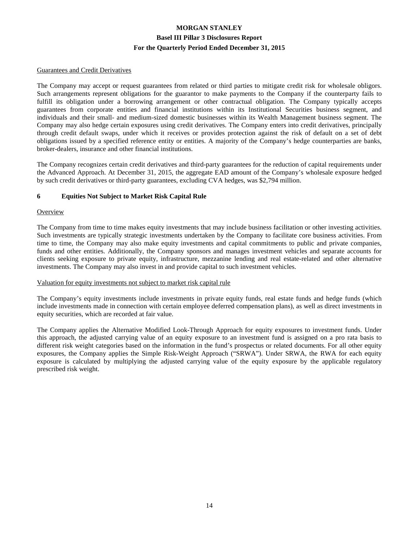#### Guarantees and Credit Derivatives

The Company may accept or request guarantees from related or third parties to mitigate credit risk for wholesale obligors. Such arrangements represent obligations for the guarantor to make payments to the Company if the counterparty fails to fulfill its obligation under a borrowing arrangement or other contractual obligation. The Company typically accepts guarantees from corporate entities and financial institutions within its Institutional Securities business segment, and individuals and their small- and medium-sized domestic businesses within its Wealth Management business segment. The Company may also hedge certain exposures using credit derivatives. The Company enters into credit derivatives, principally through credit default swaps, under which it receives or provides protection against the risk of default on a set of debt obligations issued by a specified reference entity or entities. A majority of the Company's hedge counterparties are banks, broker-dealers, insurance and other financial institutions.

The Company recognizes certain credit derivatives and third-party guarantees for the reduction of capital requirements under the Advanced Approach. At December 31, 2015, the aggregate EAD amount of the Company's wholesale exposure hedged by such credit derivatives or third-party guarantees, excluding CVA hedges, was \$2,794 million.

#### **6 Equities Not Subject to Market Risk Capital Rule**

#### **Overview**

The Company from time to time makes equity investments that may include business facilitation or other investing activities. Such investments are typically strategic investments undertaken by the Company to facilitate core business activities. From time to time, the Company may also make equity investments and capital commitments to public and private companies, funds and other entities. Additionally, the Company sponsors and manages investment vehicles and separate accounts for clients seeking exposure to private equity, infrastructure, mezzanine lending and real estate-related and other alternative investments. The Company may also invest in and provide capital to such investment vehicles.

#### Valuation for equity investments not subject to market risk capital rule

The Company's equity investments include investments in private equity funds, real estate funds and hedge funds (which include investments made in connection with certain employee deferred compensation plans), as well as direct investments in equity securities, which are recorded at fair value.

The Company applies the Alternative Modified Look-Through Approach for equity exposures to investment funds. Under this approach, the adjusted carrying value of an equity exposure to an investment fund is assigned on a pro rata basis to different risk weight categories based on the information in the fund's prospectus or related documents. For all other equity exposures, the Company applies the Simple Risk-Weight Approach ("SRWA"). Under SRWA, the RWA for each equity exposure is calculated by multiplying the adjusted carrying value of the equity exposure by the applicable regulatory prescribed risk weight.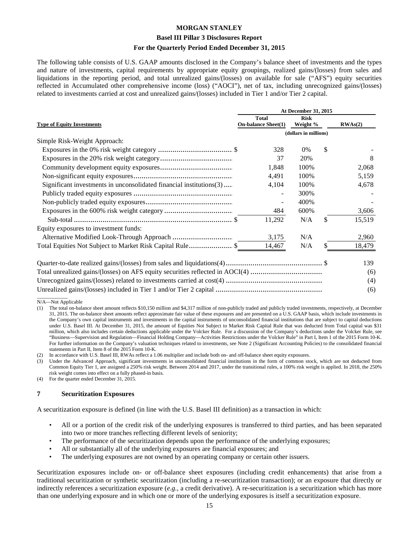#### **Basel III Pillar 3 Disclosures Report**

#### **For the Quarterly Period Ended December 31, 2015**

The following table consists of U.S. GAAP amounts disclosed in the Company's balance sheet of investments and the types and nature of investments, capital requirements by appropriate equity groupings, realized gains/(losses) from sales and liquidations in the reporting period, and total unrealized gains/(losses) on available for sale ("AFS") equity securities reflected in Accumulated other comprehensive income (loss) ("AOCI"), net of tax, including unrecognized gains/(losses) related to investments carried at cost and unrealized gains/(losses) included in Tier 1 and/or Tier 2 capital.

|                                                                               | <b>At December 31, 2015</b>                |                         |    |         |  |
|-------------------------------------------------------------------------------|--------------------------------------------|-------------------------|----|---------|--|
| <b>Type of Equity Investments</b>                                             | <b>Total</b><br><b>On-balance Sheet(1)</b> | <b>Risk</b><br>Weight % |    | RWAs(2) |  |
|                                                                               |                                            | (dollars in millions)   |    |         |  |
| Simple Risk-Weight Approach:                                                  |                                            |                         |    |         |  |
|                                                                               | 328                                        | 0%                      | \$ |         |  |
|                                                                               | 37                                         | 20%                     |    | 8       |  |
|                                                                               | 1,848                                      | 100%                    |    | 2,068   |  |
|                                                                               | 4,491                                      | 100%                    |    | 5,159   |  |
| Significant investments in unconsolidated financial institutions(3)           | 4,104                                      | 100%                    |    | 4,678   |  |
|                                                                               |                                            | 300%                    |    |         |  |
|                                                                               |                                            | 400%                    |    |         |  |
|                                                                               | 484                                        | 600%                    |    | 3,606   |  |
|                                                                               | 11,292                                     | N/A                     | \$ | 15,519  |  |
| Equity exposures to investment funds:                                         |                                            |                         |    |         |  |
|                                                                               | 3,175                                      | N/A                     |    | 2,960   |  |
| Total Equities Not Subject to Market Risk Capital Rule\$                      | 14,467                                     | N/A                     | \$ | 18,479  |  |
|                                                                               |                                            |                         |    | 139     |  |
| Total unrealized gains/(losses) on AFS equity securities reflected in AOCI(4) |                                            |                         |    | (6)     |  |
|                                                                               |                                            |                         |    | (4)     |  |

Unrealized gains/(losses) included in Tier 1 and/or Tier 2 capital ................................................................ (6)  $\overline{\phantom{a}}$ 

N/A—Not Applicable

(2) In accordance with U.S. Basel III, RWAs reflect a 1.06 multiplier and include both on- and off-balance sheet equity exposures.

Under the Advanced Approach, significant investments in unconsolidated financial institutions in the form of common stock, which are not deducted from Common Equity Tier 1, are assigned a 250% risk weight. Between 2014 and 2017, under the transitional rules, a 100% risk weight is applied. In 2018, the 250% risk weight comes into effect on a fully phased-in basis.

#### **7 Securitization Exposures**

A securitization exposure is defined (in line with the U.S. Basel III definition) as a transaction in which:

- All or a portion of the credit risk of the underlying exposures is transferred to third parties, and has been separated into two or more tranches reflecting different levels of seniority;
- The performance of the securitization depends upon the performance of the underlying exposures;
- All or substantially all of the underlying exposures are financial exposures; and
- The underlying exposures are not owned by an operating company or certain other issuers.

Securitization exposures include on- or off-balance sheet exposures (including credit enhancements) that arise from a traditional securitization or synthetic securitization (including a re-securitization transaction); or an exposure that directly or indirectly references a securitization exposure (*e.g.*, a credit derivative). A re-securitization is a securitization which has more than one underlying exposure and in which one or more of the underlying exposures is itself a securitization exposure.

<sup>(1)</sup> The total on-balance sheet amount reflects \$10,150 million and \$4,317 million of non-publicly traded and publicly traded investments, respectively, at December 31, 2015. The on-balance sheet amounts reflect approximate fair value of these exposures and are presented on a U.S. GAAP basis, which include investments in the Company's own capital instruments and investments in the capital instruments of unconsolidated financial institutions that are subject to capital deductions under U.S. Basel III. At December 31, 2015, the amount of Equities Not Subject to Market Risk Capital Rule that was deducted from Total capital was \$31 million, which also includes certain deductions applicable under the Volcker Rule. For a discussion of the Company's deductions under the Volcker Rule, see "Business—Supervision and Regulation—Financial Holding Company—Activities Restrictions under the Volcker Rule" in Part I, Item 1 of the 2015 Form 10-K. For further information on the Company's valuation techniques related to investments, see Note 2 (Significant Accounting Policies) to the consolidated financial statements in Part II, Item 8 of the 2015 Form 10-K.

<sup>(4)</sup> For the quarter ended December 31, 2015.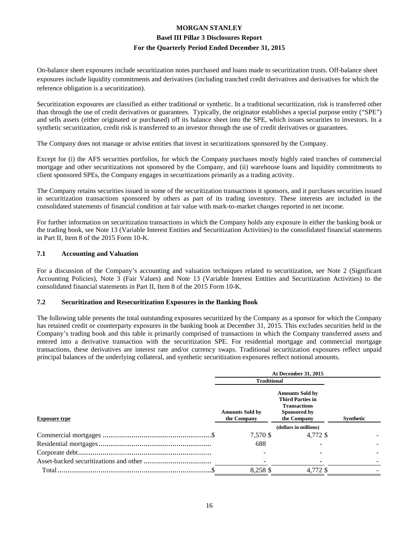On-balance sheet exposures include securitization notes purchased and loans made to securitization trusts. Off-balance sheet exposures include liquidity commitments and derivatives (including tranched credit derivatives and derivatives for which the reference obligation is a securitization).

Securitization exposures are classified as either traditional or synthetic. In a traditional securitization, risk is transferred other than through the use of credit derivatives or guarantees. Typically, the originator establishes a special purpose entity ("SPE") and sells assets (either originated or purchased) off its balance sheet into the SPE, which issues securities to investors. In a synthetic securitization, credit risk is transferred to an investor through the use of credit derivatives or guarantees.

The Company does not manage or advise entities that invest in securitizations sponsored by the Company.

Except for (i) the AFS securities portfolios, for which the Company purchases mostly highly rated tranches of commercial mortgage and other securitizations not sponsored by the Company, and (ii) warehouse loans and liquidity commitments to client sponsored SPEs, the Company engages in securitizations primarily as a trading activity.

The Company retains securities issued in some of the securitization transactions it sponsors, and it purchases securities issued in securitization transactions sponsored by others as part of its trading inventory. These interests are included in the consolidated statements of financial condition at fair value with mark-to-market changes reported in net income.

For further information on securitization transactions in which the Company holds any exposure in either the banking book or the trading book, see Note 13 (Variable Interest Entities and Securitization Activities) to the consolidated financial statements in Part II, Item 8 of the 2015 Form 10-K.

#### **7.1 Accounting and Valuation**

For a discussion of the Company's accounting and valuation techniques related to securitization, see Note 2 (Significant Accounting Policies), Note 3 (Fair Values) and Note 13 (Variable Interest Entities and Securitization Activities) to the consolidated financial statements in Part II, Item 8 of the 2015 Form 10-K.

#### **7.2 Securitization and Resecuritization Exposures in the Banking Book**

The following table presents the total outstanding exposures securitized by the Company as a sponsor for which the Company has retained credit or counterparty exposures in the banking book at December 31, 2015. This excludes securities held in the Company's trading book and this table is primarily comprised of transactions in which the Company transferred assets and entered into a derivative transaction with the securitization SPE. For residential mortgage and commercial mortgage transactions, these derivatives are interest rate and/or currency swaps. Traditional securitization exposures reflect unpaid principal balances of the underlying collateral, and synthetic securitization exposures reflect notional amounts.

|                      | <b>At December 31, 2015</b>           |                                                                                                         |                  |  |
|----------------------|---------------------------------------|---------------------------------------------------------------------------------------------------------|------------------|--|
|                      | <b>Traditional</b>                    |                                                                                                         |                  |  |
| <b>Exposure type</b> | <b>Amounts Sold by</b><br>the Company | <b>Amounts Sold by</b><br><b>Third Parties in</b><br><b>Transactions</b><br>Sponsored by<br>the Company | <b>Synthetic</b> |  |
|                      |                                       | (dollars in millions)                                                                                   |                  |  |
|                      | 7,570 \$                              | 4.772 \$                                                                                                |                  |  |
|                      | 688                                   |                                                                                                         |                  |  |
|                      |                                       |                                                                                                         |                  |  |
|                      |                                       |                                                                                                         |                  |  |
|                      | 8.258 \$                              | 4.772 \$                                                                                                |                  |  |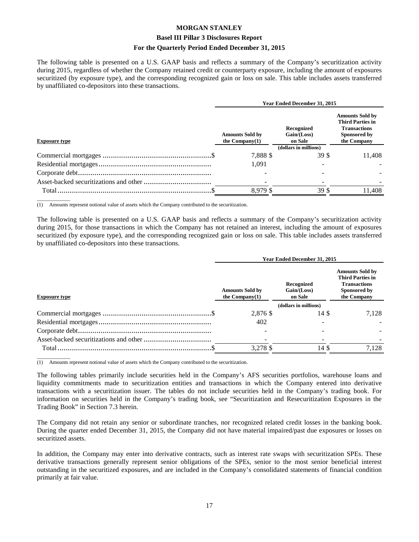#### **Basel III Pillar 3 Disclosures Report**

#### **For the Quarterly Period Ended December 31, 2015**

The following table is presented on a U.S. GAAP basis and reflects a summary of the Company's securitization activity during 2015, regardless of whether the Company retained credit or counterparty exposure, including the amount of exposures securitized (by exposure type), and the corresponding recognized gain or loss on sale. This table includes assets transferred by unaffiliated co-depositors into these transactions.

|                      |                                             | <b>Year Ended December 31, 2015</b>    |                                                                                                         |  |
|----------------------|---------------------------------------------|----------------------------------------|---------------------------------------------------------------------------------------------------------|--|
| <b>Exposure type</b> | <b>Amounts Sold by</b><br>the Company $(1)$ | Recognized<br>Gain / (Loss)<br>on Sale | <b>Amounts Sold by</b><br><b>Third Parties in</b><br><b>Transactions</b><br>Sponsored by<br>the Company |  |
|                      |                                             | (dollars in millions)                  |                                                                                                         |  |
|                      | 7,888 \$                                    | 39 S                                   | 11,408                                                                                                  |  |
|                      | 1.091                                       |                                        |                                                                                                         |  |
|                      |                                             |                                        |                                                                                                         |  |
|                      |                                             |                                        |                                                                                                         |  |
|                      | 8.979 \$                                    | 39 \$                                  | 11.408                                                                                                  |  |

 $\overline{\phantom{a}}$  , where  $\overline{\phantom{a}}$ (1) Amounts represent notional value of assets which the Company contributed to the securitization.

The following table is presented on a U.S. GAAP basis and reflects a summary of the Company's securitization activity during 2015, for those transactions in which the Company has not retained an interest, including the amount of exposures securitized (by exposure type), and the corresponding recognized gain or loss on sale. This table includes assets transferred by unaffiliated co-depositors into these transactions.

|                      | Year Ended December 31, 2015                |                                      |                                                                                                         |  |  |  |
|----------------------|---------------------------------------------|--------------------------------------|---------------------------------------------------------------------------------------------------------|--|--|--|
| <b>Exposure type</b> | <b>Amounts Sold by</b><br>the $Commonov(1)$ | Recognized<br>Gain/(Loss)<br>on Sale | <b>Amounts Sold by</b><br><b>Third Parties in</b><br><b>Transactions</b><br>Sponsored by<br>the Company |  |  |  |
|                      |                                             | (dollars in millions)                |                                                                                                         |  |  |  |
|                      | 2,876 \$                                    | 14 S                                 | 7,128                                                                                                   |  |  |  |
|                      | 402                                         |                                      |                                                                                                         |  |  |  |
|                      |                                             |                                      |                                                                                                         |  |  |  |
|                      |                                             |                                      |                                                                                                         |  |  |  |
|                      | 3,278 \$                                    | 14 \$                                | 7.128                                                                                                   |  |  |  |
|                      |                                             |                                      |                                                                                                         |  |  |  |

(1) Amounts represent notional value of assets which the Company contributed to the securitization.

 $\overline{\phantom{a}}$  , where  $\overline{\phantom{a}}$ 

The following tables primarily include securities held in the Company's AFS securities portfolios, warehouse loans and liquidity commitments made to securitization entities and transactions in which the Company entered into derivative transactions with a securitization issuer. The tables do not include securities held in the Company's trading book. For information on securities held in the Company's trading book, see "Securitization and Resecuritization Exposures in the Trading Book" in Section 7.3 herein.

The Company did not retain any senior or subordinate tranches, nor recognized related credit losses in the banking book. During the quarter ended December 31, 2015, the Company did not have material impaired/past due exposures or losses on securitized assets.

In addition, the Company may enter into derivative contracts, such as interest rate swaps with securitization SPEs. These derivative transactions generally represent senior obligations of the SPEs, senior to the most senior beneficial interest outstanding in the securitized exposures, and are included in the Company's consolidated statements of financial condition primarily at fair value.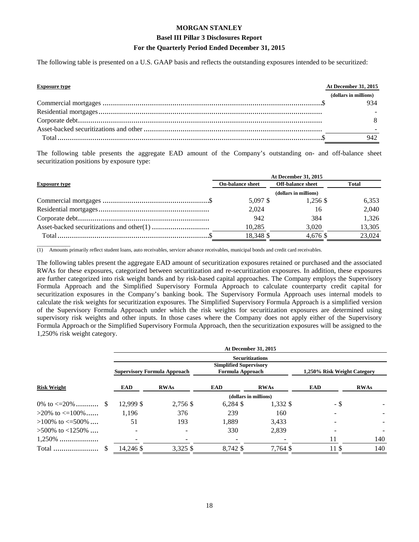#### **Basel III Pillar 3 Disclosures Report**

#### **For the Quarterly Period Ended December 31, 2015**

The following table is presented on a U.S. GAAP basis and reflects the outstanding exposures intended to be securitized:

| <b>Exposure type</b> | At December 31, 2015  |
|----------------------|-----------------------|
|                      | (dollars in millions) |
|                      | 934                   |
|                      |                       |
|                      |                       |
|                      |                       |
|                      | 942                   |

The following table presents the aggregate EAD amount of the Company's outstanding on- and off-balance sheet securitization positions by exposure type:

|                      | At December 31, 2015    |                          |              |  |
|----------------------|-------------------------|--------------------------|--------------|--|
| <b>Exposure type</b> | <b>On-balance sheet</b> | <b>Off-balance sheet</b> | <b>Total</b> |  |
|                      | (dollars in millions)   |                          |              |  |
|                      | 5,097 \$                | 1,256 \$                 | 6,353        |  |
|                      | 2.024                   | 16                       | 2,040        |  |
|                      | 942                     | 384                      | 1.326        |  |
|                      | 10.285                  | 3,020                    | 13,305       |  |
|                      | 18,348 \$               | 4.676 \$                 | 23,024       |  |

 $\overline{\phantom{a}}$  , where  $\overline{\phantom{a}}$ (1) Amounts primarily reflect student loans, auto receivables, servicer advance receivables, municipal bonds and credit card receivables.

The following tables present the aggregate EAD amount of securitization exposures retained or purchased and the associated RWAs for these exposures, categorized between securitization and re-securitization exposures. In addition, these exposures are further categorized into risk weight bands and by risk-based capital approaches. The Company employs the Supervisory Formula Approach and the Simplified Supervisory Formula Approach to calculate counterparty credit capital for securitization exposures in the Company's banking book. The Supervisory Formula Approach uses internal models to calculate the risk weights for securitization exposures. The Simplified Supervisory Formula Approach is a simplified version of the Supervisory Formula Approach under which the risk weights for securitization exposures are determined using supervisory risk weights and other inputs. In those cases where the Company does not apply either of the Supervisory Formula Approach or the Simplified Supervisory Formula Approach, then the securitization exposures will be assigned to the 1,250% risk weight category.

|                          |           |                                     |                                                          | At December 31, 2015   |                             |             |
|--------------------------|-----------|-------------------------------------|----------------------------------------------------------|------------------------|-----------------------------|-------------|
|                          |           |                                     |                                                          | <b>Securitizations</b> |                             |             |
|                          |           | <b>Supervisory Formula Approach</b> | <b>Simplified Supervisory</b><br><b>Formula Approach</b> |                        | 1,250% Risk Weight Category |             |
| <b>Risk Weight</b>       | EAD       | <b>RWAs</b>                         | <b>EAD</b>                                               | <b>RWAs</b>            | <b>EAD</b>                  | <b>RWAs</b> |
|                          |           |                                     |                                                          | (dollars in millions)  |                             |             |
| 0\% to $\leq$ =20\%  \$  | 12,999 \$ | 2,756 \$                            | $6,284$ \$                                               | 1,332 \$               | - \$                        |             |
| $>20\%$ to $\leq 100\%$  | 1,196     | 376                                 | 239                                                      | 160                    |                             |             |
| $>100\%$ to $\leq 500\%$ | 51        | 193                                 | 1,889                                                    | 3,433                  |                             |             |
| $>500\%$ to $<1250\%$    |           |                                     | 330                                                      | 2,839                  |                             |             |
| $1,250\%$                |           |                                     |                                                          |                        |                             | 140         |
|                          | 14,246 \$ | $3,325$ \$                          | 8,742 \$                                                 | 7,764 \$               | 11S                         | 140         |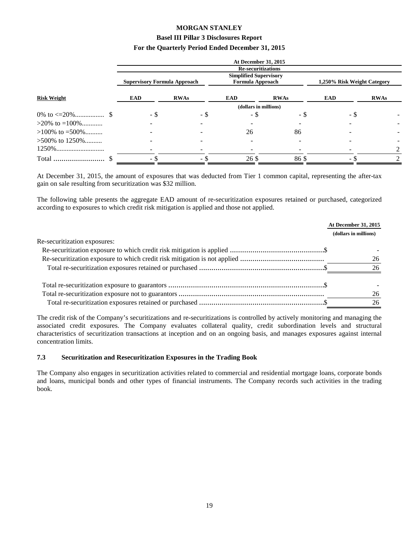#### **Basel III Pillar 3 Disclosures Report**

#### **For the Quarterly Period Ended December 31, 2015**

|                    |                                     |             | <b>At December 31, 2015</b>                              |             |                             |             |
|--------------------|-------------------------------------|-------------|----------------------------------------------------------|-------------|-----------------------------|-------------|
|                    |                                     |             | <b>Re-securitizations</b>                                |             |                             |             |
|                    | <b>Supervisory Formula Approach</b> |             | <b>Simplified Supervisory</b><br><b>Formula Approach</b> |             | 1,250% Risk Weight Category |             |
| <b>Risk Weight</b> | <b>EAD</b>                          | <b>RWAs</b> | <b>EAD</b>                                               | <b>RWAs</b> | <b>EAD</b>                  | <b>RWAs</b> |
|                    |                                     |             | (dollars in millions)                                    |             |                             |             |
|                    | - \$                                | - \$        | - \$                                                     | - \$        | - \$                        |             |
| $>20\%$ to =100\%  |                                     |             |                                                          |             |                             |             |
| $>100\%$ to =500\% |                                     |             | 26                                                       | 86          |                             |             |
| $>500\%$ to 1250\% |                                     |             |                                                          |             |                             |             |
|                    |                                     |             |                                                          |             |                             |             |
| Total              | -ა                                  | - \$        | 26 \$                                                    | 86\$        | $\overline{\phantom{0}}$    |             |

At December 31, 2015, the amount of exposures that was deducted from Tier 1 common capital, representing the after-tax gain on sale resulting from securitization was \$32 million.

The following table presents the aggregate EAD amount of re-securitization exposures retained or purchased, categorized according to exposures to which credit risk mitigation is applied and those not applied.

|                              | At December 31, 2015  |
|------------------------------|-----------------------|
|                              | (dollars in millions) |
| Re-securitization exposures: |                       |
|                              |                       |
|                              | 26                    |
|                              | 26                    |
|                              |                       |
|                              | 26                    |
|                              | 26                    |

The credit risk of the Company's securitizations and re-securitizations is controlled by actively monitoring and managing the associated credit exposures. The Company evaluates collateral quality, credit subordination levels and structural characteristics of securitization transactions at inception and on an ongoing basis, and manages exposures against internal concentration limits.

#### **7.3 Securitization and Resecuritization Exposures in the Trading Book**

The Company also engages in securitization activities related to commercial and residential mortgage loans, corporate bonds and loans, municipal bonds and other types of financial instruments. The Company records such activities in the trading book.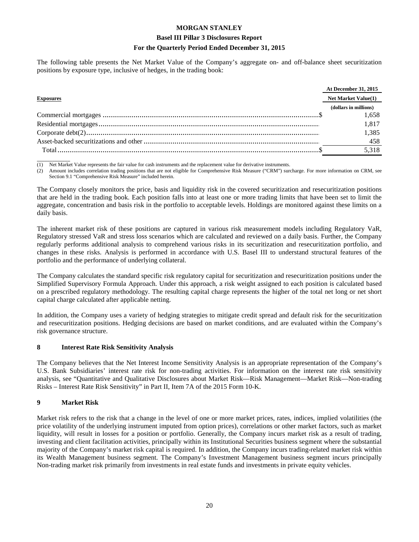#### **Basel III Pillar 3 Disclosures Report**

#### **For the Quarterly Period Ended December 31, 2015**

The following table presents the Net Market Value of the Company's aggregate on- and off-balance sheet securitization positions by exposure type, inclusive of hedges, in the trading book:

|                  | <b>At December 31, 2015</b> |
|------------------|-----------------------------|
| <b>Exposures</b> | <b>Net Market Value(1)</b>  |
|                  | (dollars in millions)       |
|                  | 1.658                       |
|                  | 1.817                       |
|                  | 1,385                       |
|                  | 458                         |
|                  | 5.318                       |

 $\overline{\phantom{a}}$ Net Market Value represents the fair value for cash instruments and the replacement value for derivative instruments.

(2) Amount includes correlation trading positions that are not eligible for Comprehensive Risk Measure ("CRM") surcharge. For more information on CRM, see Section 9.1 "Comprehensive Risk Measure" included herein.

The Company closely monitors the price, basis and liquidity risk in the covered securitization and resecuritization positions that are held in the trading book. Each position falls into at least one or more trading limits that have been set to limit the aggregate, concentration and basis risk in the portfolio to acceptable levels. Holdings are monitored against these limits on a daily basis.

The inherent market risk of these positions are captured in various risk measurement models including Regulatory VaR, Regulatory stressed VaR and stress loss scenarios which are calculated and reviewed on a daily basis. Further, the Company regularly performs additional analysis to comprehend various risks in its securitization and resecuritization portfolio, and changes in these risks. Analysis is performed in accordance with U.S. Basel III to understand structural features of the portfolio and the performance of underlying collateral.

The Company calculates the standard specific risk regulatory capital for securitization and resecuritization positions under the Simplified Supervisory Formula Approach. Under this approach, a risk weight assigned to each position is calculated based on a prescribed regulatory methodology. The resulting capital charge represents the higher of the total net long or net short capital charge calculated after applicable netting.

In addition, the Company uses a variety of hedging strategies to mitigate credit spread and default risk for the securitization and resecuritization positions. Hedging decisions are based on market conditions, and are evaluated within the Company's risk governance structure.

#### **8 Interest Rate Risk Sensitivity Analysis**

The Company believes that the Net Interest Income Sensitivity Analysis is an appropriate representation of the Company's U.S. Bank Subsidiaries' interest rate risk for non-trading activities. For information on the interest rate risk sensitivity analysis, see "Quantitative and Qualitative Disclosures about Market Risk—Risk Management—Market Risk—Non-trading Risks – Interest Rate Risk Sensitivity" in Part II, Item 7A of the 2015 Form 10-K.

#### **9 Market Risk**

Market risk refers to the risk that a change in the level of one or more market prices, rates, indices, implied volatilities (the price volatility of the underlying instrument imputed from option prices), correlations or other market factors, such as market liquidity, will result in losses for a position or portfolio. Generally, the Company incurs market risk as a result of trading, investing and client facilitation activities, principally within its Institutional Securities business segment where the substantial majority of the Company's market risk capital is required. In addition, the Company incurs trading-related market risk within its Wealth Management business segment. The Company's Investment Management business segment incurs principally Non-trading market risk primarily from investments in real estate funds and investments in private equity vehicles.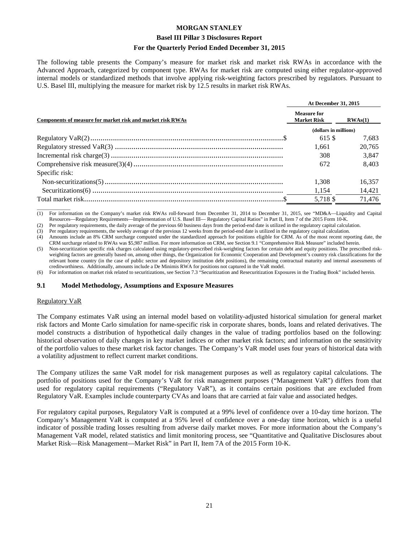#### **Basel III Pillar 3 Disclosures Report**

#### **For the Quarterly Period Ended December 31, 2015**

The following table presents the Company's measure for market risk and market risk RWAs in accordance with the Advanced Approach, categorized by component type. RWAs for market risk are computed using either regulator-approved internal models or standardized methods that involve applying risk-weighting factors prescribed by regulators. Pursuant to U.S. Basel III, multiplying the measure for market risk by 12.5 results in market risk RWAs.

|                                                            | At December 31, 2015                     |         |  |
|------------------------------------------------------------|------------------------------------------|---------|--|
| Components of measure for market risk and market risk RWAs | <b>Measure for</b><br><b>Market Risk</b> | RWAs(1) |  |
|                                                            | (dollars in millions)                    |         |  |
|                                                            | 615 \$                                   | 7.683   |  |
|                                                            | 1.661                                    | 20.765  |  |
|                                                            | 308                                      | 3,847   |  |
|                                                            | 672                                      | 8.403   |  |
| Specific risk:                                             |                                          |         |  |
|                                                            | 1.308                                    | 16,357  |  |
|                                                            | 1,154                                    | 14,421  |  |
|                                                            | 5.718 \$                                 | 71.476  |  |

 $\overline{\phantom{a}}$  , where  $\overline{\phantom{a}}$ (1) For information on the Company's market risk RWAs roll-forward from December 31, 2014 to December 31, 2015, see "MD&A—Liquidity and Capital Resources—Regulatory Requirements—Implementation of U.S. Basel III— Regulatory Capital Ratios" in Part II, Item 7 of the 2015 Form 10-K.

(2) Per regulatory requirements, the daily average of the previous 60 business days from the period-end date is utilized in the regulatory capital calculation.

(3) Per regulatory requirements, the weekly average of the previous 12 weeks from the period-end date is utilized in the regulatory capital calculation.

(4) Amounts include an 8% CRM surcharge computed under the standardized approach for positions eligible for CRM. As of the most recent reporting date, the CRM surcharge related to RWAs was \$5,987 million. For more information on CRM, see Section 9.1 "Comprehensive Risk Measure" included herein.

(5) Non-securitization specific risk charges calculated using regulatory-prescribed risk-weighting factors for certain debt and equity positions. The prescribed riskweighting factors are generally based on, among other things, the Organization for Economic Cooperation and Development's country risk classifications for the relevant home country (in the case of public sector and depository institution debt positions), the remaining contractual maturity and internal assessments of creditworthiness. Additionally, amounts include a De Minimis RWA for positions not captured in the VaR model.

(6) For information on market risk related to securitizations, see Section 7.3 "Securitization and Resecuritization Exposures in the Trading Book" included herein.

#### **9.1 Model Methodology, Assumptions and Exposure Measures**

#### Regulatory VaR

The Company estimates VaR using an internal model based on volatility-adjusted historical simulation for general market risk factors and Monte Carlo simulation for name-specific risk in corporate shares, bonds, loans and related derivatives. The model constructs a distribution of hypothetical daily changes in the value of trading portfolios based on the following: historical observation of daily changes in key market indices or other market risk factors; and information on the sensitivity of the portfolio values to these market risk factor changes. The Company's VaR model uses four years of historical data with a volatility adjustment to reflect current market conditions.

The Company utilizes the same VaR model for risk management purposes as well as regulatory capital calculations. The portfolio of positions used for the Company's VaR for risk management purposes ("Management VaR") differs from that used for regulatory capital requirements ("Regulatory VaR"), as it contains certain positions that are excluded from Regulatory VaR. Examples include counterparty CVAs and loans that are carried at fair value and associated hedges.

For regulatory capital purposes, Regulatory VaR is computed at a 99% level of confidence over a 10-day time horizon. The Company's Management VaR is computed at a 95% level of confidence over a one-day time horizon, which is a useful indicator of possible trading losses resulting from adverse daily market moves. For more information about the Company's Management VaR model, related statistics and limit monitoring process, see "Quantitative and Qualitative Disclosures about Market Risk—Risk Management—Market Risk" in Part II, Item 7A of the 2015 Form 10-K.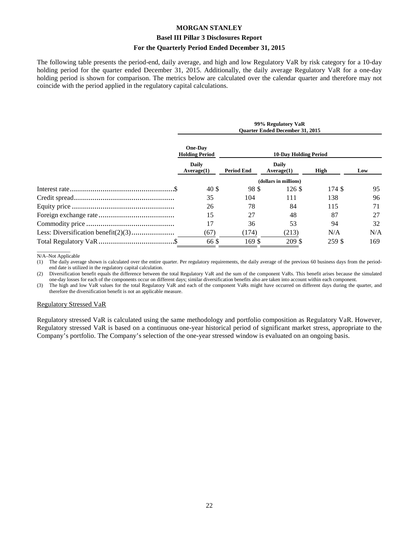#### **Basel III Pillar 3 Disclosures Report**

#### **For the Quarterly Period Ended December 31, 2015**

The following table presents the period-end, daily average, and high and low Regulatory VaR by risk category for a 10-day holding period for the quarter ended December 31, 2015. Additionally, the daily average Regulatory VaR for a one-day holding period is shown for comparison. The metrics below are calculated over the calendar quarter and therefore may not coincide with the period applied in the regulatory capital calculations.

|  | 99% Regulatory VaR<br><b>Ouarter Ended December 31, 2015</b>   |                              |                     |        |     |
|--|----------------------------------------------------------------|------------------------------|---------------------|--------|-----|
|  | <b>One-Dav</b><br><b>Holding Period</b><br>Daily<br>Average(1) | <b>10-Day Holding Period</b> |                     |        |     |
|  |                                                                | Period End                   | Daily<br>Average(1) | High   | Low |
|  | (dollars in millions)                                          |                              |                     |        |     |
|  | 40\$                                                           | 98 \$                        | 126S                | 174 \$ | 95  |
|  | 35                                                             | 104                          | 111                 | 138    | 96  |
|  | 26                                                             | 78                           | 84                  | 115    | 71  |
|  | 15                                                             | 27                           | 48                  | 87     | 27  |
|  | 17                                                             | 36                           | 53                  | 94     | 32  |
|  | (67)                                                           | (174)                        | (213)               | N/A    | N/A |
|  | 66 \$                                                          | 169 \$                       | 209 \$              | 259 \$ | 169 |

 $\overline{\phantom{a}}$  , where  $\overline{\phantom{a}}$ N/A–Not Applicable

(1) The daily average shown is calculated over the entire quarter. Per regulatory requirements, the daily average of the previous 60 business days from the periodend date is utilized in the regulatory capital calculation.

(2) Diversification benefit equals the difference between the total Regulatory VaR and the sum of the component VaRs. This benefit arises because the simulated one-day losses for each of the components occur on different days; similar diversification benefits also are taken into account within each component.

(3) The high and low VaR values for the total Regulatory VaR and each of the component VaRs might have occurred on different days during the quarter, and therefore the diversification benefit is not an applicable measure.

#### Regulatory Stressed VaR

Regulatory stressed VaR is calculated using the same methodology and portfolio composition as Regulatory VaR. However, Regulatory stressed VaR is based on a continuous one-year historical period of significant market stress, appropriate to the Company's portfolio. The Company's selection of the one-year stressed window is evaluated on an ongoing basis.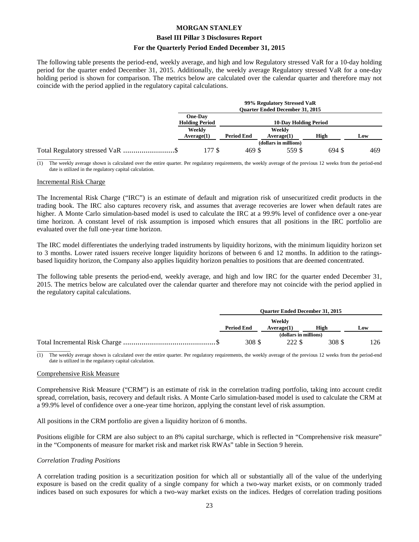#### **Basel III Pillar 3 Disclosures Report**

#### **For the Quarterly Period Ended December 31, 2015**

The following table presents the period-end, weekly average, and high and low Regulatory stressed VaR for a 10-day holding period for the quarter ended December 31, 2015. Additionally, the weekly average Regulatory stressed VaR for a one-day holding period is shown for comparison. The metrics below are calculated over the calendar quarter and therefore may not coincide with the period applied in the regulatory capital calculations.

|                                  | 99% Regulatory Stressed VaR<br><b>Ouarter Ended December 31, 2015</b> |                   |                              |        |     |
|----------------------------------|-----------------------------------------------------------------------|-------------------|------------------------------|--------|-----|
|                                  | One-Day<br><b>Holding Period</b>                                      |                   | <b>10-Day Holding Period</b> |        |     |
|                                  | Weekly<br>Average(1)                                                  | <b>Period End</b> | Weekly<br>Average(1)         | High   | Low |
|                                  |                                                                       |                   | (dollars in millions)        |        |     |
| Total Regulatory stressed VaR \$ | 177 S                                                                 | 469 \$            | 559 \$                       | 694 \$ | 469 |

 $\overline{\phantom{a}}$  , where  $\overline{\phantom{a}}$ (1) The weekly average shown is calculated over the entire quarter. Per regulatory requirements, the weekly average of the previous 12 weeks from the period-end date is utilized in the regulatory capital calculation.

#### Incremental Risk Charge

The Incremental Risk Charge ("IRC") is an estimate of default and migration risk of unsecuritized credit products in the trading book. The IRC also captures recovery risk, and assumes that average recoveries are lower when default rates are higher. A Monte Carlo simulation-based model is used to calculate the IRC at a 99.9% level of confidence over a one-year time horizon. A constant level of risk assumption is imposed which ensures that all positions in the IRC portfolio are evaluated over the full one-year time horizon.

The IRC model differentiates the underlying traded instruments by liquidity horizons, with the minimum liquidity horizon set to 3 months. Lower rated issuers receive longer liquidity horizons of between 6 and 12 months. In addition to the ratingsbased liquidity horizon, the Company also applies liquidity horizon penalties to positions that are deemed concentrated.

The following table presents the period-end, weekly average, and high and low IRC for the quarter ended December 31, 2015. The metrics below are calculated over the calendar quarter and therefore may not coincide with the period applied in the regulatory capital calculations.

| <b>Ouarter Ended December 31, 2015</b> |                       |       |     |
|----------------------------------------|-----------------------|-------|-----|
| Weekly                                 |                       |       |     |
| <b>Period End</b>                      | Average(1)            | High  | Low |
|                                        | (dollars in millions) |       |     |
| 308 S                                  | 222 S                 | 308 S | .26 |

 $\overline{\phantom{a}}$  , where  $\overline{\phantom{a}}$ (1) The weekly average shown is calculated over the entire quarter. Per regulatory requirements, the weekly average of the previous 12 weeks from the period-end date is utilized in the regulatory capital calculation.

#### Comprehensive Risk Measure

Comprehensive Risk Measure ("CRM") is an estimate of risk in the correlation trading portfolio, taking into account credit spread, correlation, basis, recovery and default risks. A Monte Carlo simulation-based model is used to calculate the CRM at a 99.9% level of confidence over a one-year time horizon, applying the constant level of risk assumption.

All positions in the CRM portfolio are given a liquidity horizon of 6 months.

Positions eligible for CRM are also subject to an 8% capital surcharge, which is reflected in "Comprehensive risk measure" in the "Components of measure for market risk and market risk RWAs" table in Section 9 herein.

#### *Correlation Trading Positions*

A correlation trading position is a securitization position for which all or substantially all of the value of the underlying exposure is based on the credit quality of a single company for which a two-way market exists, or on commonly traded indices based on such exposures for which a two-way market exists on the indices. Hedges of correlation trading positions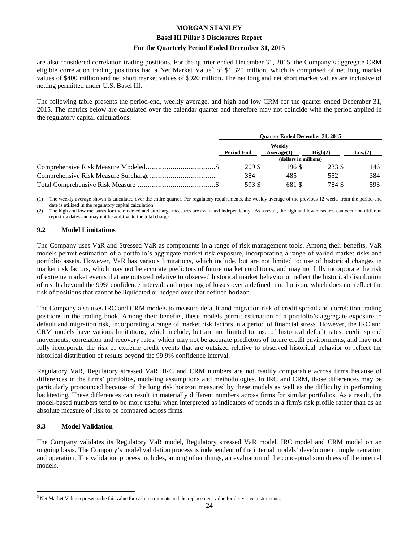#### **Basel III Pillar 3 Disclosures Report**

#### **For the Quarterly Period Ended December 31, 2015**

are also considered correlation trading positions. For the quarter ended December 31, 2015, the Company's aggregate CRM eligible correlation trading positions had a Net Market Value<sup>3</sup> of \$1,320 million, which is comprised of net long market values of \$400 million and net short market values of \$920 million. The net long and net short market values are inclusive of netting permitted under U.S. Basel III.

The following table presents the period-end, weekly average, and high and low CRM for the quarter ended December 31, 2015. The metrics below are calculated over the calendar quarter and therefore may not coincide with the period applied in the regulatory capital calculations.

| <b>Ouarter Ended December 31, 2015</b> |                      |                  |        |
|----------------------------------------|----------------------|------------------|--------|
| <b>Period End</b>                      | Weekly<br>Average(1) | $\text{High}(2)$ | Low(2) |
| (dollars in millions)                  |                      |                  |        |
| 209 \$                                 | 196 \$               | 233 S            | 146.   |
| 384                                    | 485                  | 552              | 384    |
| 593 S                                  | 681 \$               | 784 S            | 593    |

 $\overline{\phantom{a}}$  , where  $\overline{\phantom{a}}$ The weekly average shown is calculated over the entire quarter. Per regulatory requirements, the weekly average of the previous 12 weeks from the period-end date is utilized in the regulatory capital calculation.

(2) The high and low measures for the modeled and surcharge measures are evaluated independently. As a result, the high and low measures can occur on different reporting dates and may not be additive to the total charge.

#### **9.2 Model Limitations**

The Company uses VaR and Stressed VaR as components in a range of risk management tools. Among their benefits, VaR models permit estimation of a portfolio's aggregate market risk exposure, incorporating a range of varied market risks and portfolio assets. However, VaR has various limitations, which include, but are not limited to: use of historical changes in market risk factors, which may not be accurate predictors of future market conditions, and may not fully incorporate the risk of extreme market events that are outsized relative to observed historical market behavior or reflect the historical distribution of results beyond the 99% confidence interval; and reporting of losses over a defined time horizon, which does not reflect the risk of positions that cannot be liquidated or hedged over that defined horizon.

The Company also uses IRC and CRM models to measure default and migration risk of credit spread and correlation trading positions in the trading book. Among their benefits, these models permit estimation of a portfolio's aggregate exposure to default and migration risk, incorporating a range of market risk factors in a period of financial stress. However, the IRC and CRM models have various limitations, which include, but are not limited to: use of historical default rates, credit spread movements, correlation and recovery rates, which may not be accurate predictors of future credit environments, and may not fully incorporate the risk of extreme credit events that are outsized relative to observed historical behavior or reflect the historical distribution of results beyond the 99.9% confidence interval.

Regulatory VaR, Regulatory stressed VaR, IRC and CRM numbers are not readily comparable across firms because of differences in the firms' portfolios, modeling assumptions and methodologies. In IRC and CRM, those differences may be particularly pronounced because of the long risk horizon measured by these models as well as the difficulty in performing backtesting. These differences can result in materially different numbers across firms for similar portfolios. As a result, the model-based numbers tend to be more useful when interpreted as indicators of trends in a firm's risk profile rather than as an absolute measure of risk to be compared across firms.

#### **9.3 Model Validation**

 $\overline{a}$ 

The Company validates its Regulatory VaR model, Regulatory stressed VaR model, IRC model and CRM model on an ongoing basis. The Company's model validation process is independent of the internal models' development, implementation and operation. The validation process includes, among other things, an evaluation of the conceptual soundness of the internal models.

 $3$  Net Market Value represents the fair value for cash instruments and the replacement value for derivative instruments.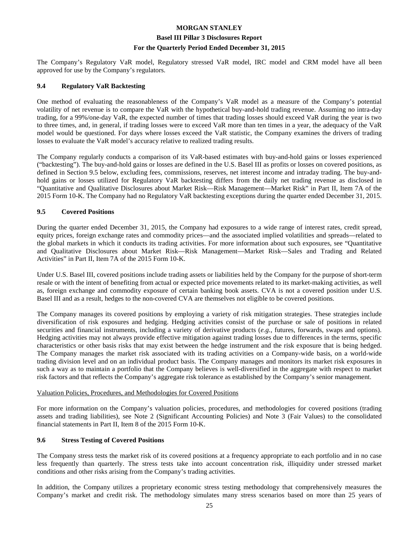#### **Basel III Pillar 3 Disclosures Report**

#### **For the Quarterly Period Ended December 31, 2015**

The Company's Regulatory VaR model, Regulatory stressed VaR model, IRC model and CRM model have all been approved for use by the Company's regulators.

#### **9.4 Regulatory VaR Backtesting**

One method of evaluating the reasonableness of the Company's VaR model as a measure of the Company's potential volatility of net revenue is to compare the VaR with the hypothetical buy-and-hold trading revenue. Assuming no intra-day trading, for a 99%/one-day VaR, the expected number of times that trading losses should exceed VaR during the year is two to three times, and, in general, if trading losses were to exceed VaR more than ten times in a year, the adequacy of the VaR model would be questioned. For days where losses exceed the VaR statistic, the Company examines the drivers of trading losses to evaluate the VaR model's accuracy relative to realized trading results.

The Company regularly conducts a comparison of its VaR-based estimates with buy-and-hold gains or losses experienced ("backtesting"). The buy-and-hold gains or losses are defined in the U.S. Basel III as profits or losses on covered positions, as defined in Section 9.5 below, excluding fees, commissions, reserves, net interest income and intraday trading. The buy-andhold gains or losses utilized for Regulatory VaR backtesting differs from the daily net trading revenue as disclosed in "Quantitative and Qualitative Disclosures about Market Risk—Risk Management—Market Risk" in Part II, Item 7A of the 2015 Form 10-K. The Company had no Regulatory VaR backtesting exceptions during the quarter ended December 31, 2015.

#### **9.5 Covered Positions**

During the quarter ended December 31, 2015, the Company had exposures to a wide range of interest rates, credit spread, equity prices, foreign exchange rates and commodity prices—and the associated implied volatilities and spreads—related to the global markets in which it conducts its trading activities. For more information about such exposures, see "Quantitative and Qualitative Disclosures about Market Risk—Risk Management—Market Risk—Sales and Trading and Related Activities" in Part II, Item 7A of the 2015 Form 10-K.

Under U.S. Basel III, covered positions include trading assets or liabilities held by the Company for the purpose of short-term resale or with the intent of benefiting from actual or expected price movements related to its market-making activities, as well as, foreign exchange and commodity exposure of certain banking book assets. CVA is not a covered position under U.S. Basel III and as a result, hedges to the non-covered CVA are themselves not eligible to be covered positions.

The Company manages its covered positions by employing a variety of risk mitigation strategies. These strategies include diversification of risk exposures and hedging. Hedging activities consist of the purchase or sale of positions in related securities and financial instruments, including a variety of derivative products (*e.g.*, futures, forwards, swaps and options). Hedging activities may not always provide effective mitigation against trading losses due to differences in the terms, specific characteristics or other basis risks that may exist between the hedge instrument and the risk exposure that is being hedged. The Company manages the market risk associated with its trading activities on a Company-wide basis, on a world-wide trading division level and on an individual product basis. The Company manages and monitors its market risk exposures in such a way as to maintain a portfolio that the Company believes is well-diversified in the aggregate with respect to market risk factors and that reflects the Company's aggregate risk tolerance as established by the Company's senior management.

#### Valuation Policies, Procedures, and Methodologies for Covered Positions

For more information on the Company's valuation policies, procedures, and methodologies for covered positions (trading assets and trading liabilities), see Note 2 (Significant Accounting Policies) and Note 3 (Fair Values) to the consolidated financial statements in Part II, Item 8 of the 2015 Form 10-K.

#### **9.6 Stress Testing of Covered Positions**

The Company stress tests the market risk of its covered positions at a frequency appropriate to each portfolio and in no case less frequently than quarterly. The stress tests take into account concentration risk, illiquidity under stressed market conditions and other risks arising from the Company's trading activities.

In addition, the Company utilizes a proprietary economic stress testing methodology that comprehensively measures the Company's market and credit risk. The methodology simulates many stress scenarios based on more than 25 years of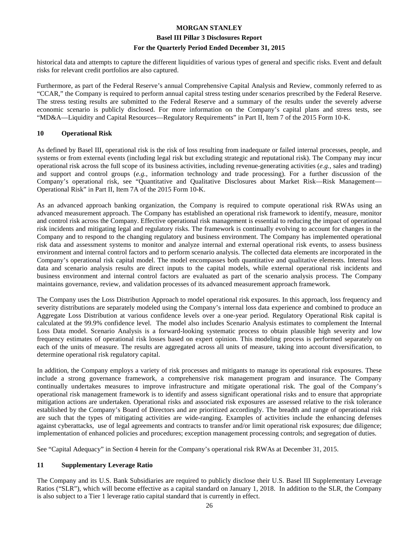#### **Basel III Pillar 3 Disclosures Report**

#### **For the Quarterly Period Ended December 31, 2015**

historical data and attempts to capture the different liquidities of various types of general and specific risks. Event and default risks for relevant credit portfolios are also captured.

Furthermore, as part of the Federal Reserve's annual Comprehensive Capital Analysis and Review, commonly referred to as "CCAR," the Company is required to perform annual capital stress testing under scenarios prescribed by the Federal Reserve. The stress testing results are submitted to the Federal Reserve and a summary of the results under the severely adverse economic scenario is publicly disclosed. For more information on the Company's capital plans and stress tests, see "MD&A—Liquidity and Capital Resources—Regulatory Requirements" in Part II, Item 7 of the 2015 Form 10-K.

# **10 Operational Risk**

As defined by Basel III, operational risk is the risk of loss resulting from inadequate or failed internal processes, people, and systems or from external events (including legal risk but excluding strategic and reputational risk). The Company may incur operational risk across the full scope of its business activities, including revenue-generating activities (*e.g.*, sales and trading) and support and control groups (*e.g.*, information technology and trade processing). For a further discussion of the Company's operational risk, see "Quantitative and Qualitative Disclosures about Market Risk—Risk Management— Operational Risk" in Part II, Item 7A of the 2015 Form 10-K.

As an advanced approach banking organization, the Company is required to compute operational risk RWAs using an advanced measurement approach. The Company has established an operational risk framework to identify, measure, monitor and control risk across the Company. Effective operational risk management is essential to reducing the impact of operational risk incidents and mitigating legal and regulatory risks. The framework is continually evolving to account for changes in the Company and to respond to the changing regulatory and business environment. The Company has implemented operational risk data and assessment systems to monitor and analyze internal and external operational risk events, to assess business environment and internal control factors and to perform scenario analysis. The collected data elements are incorporated in the Company's operational risk capital model. The model encompasses both quantitative and qualitative elements. Internal loss data and scenario analysis results are direct inputs to the capital models, while external operational risk incidents and business environment and internal control factors are evaluated as part of the scenario analysis process. The Company maintains governance, review, and validation processes of its advanced measurement approach framework.

The Company uses the Loss Distribution Approach to model operational risk exposures. In this approach, loss frequency and severity distributions are separately modeled using the Company's internal loss data experience and combined to produce an Aggregate Loss Distribution at various confidence levels over a one-year period. Regulatory Operational Risk capital is calculated at the 99.9% confidence level. The model also includes Scenario Analysis estimates to complement the Internal Loss Data model. Scenario Analysis is a forward-looking systematic process to obtain plausible high severity and low frequency estimates of operational risk losses based on expert opinion. This modeling process is performed separately on each of the units of measure. The results are aggregated across all units of measure, taking into account diversification, to determine operational risk regulatory capital.

In addition, the Company employs a variety of risk processes and mitigants to manage its operational risk exposures. These include a strong governance framework, a comprehensive risk management program and insurance. The Company continually undertakes measures to improve infrastructure and mitigate operational risk. The goal of the Company's operational risk management framework is to identify and assess significant operational risks and to ensure that appropriate mitigation actions are undertaken. Operational risks and associated risk exposures are assessed relative to the risk tolerance established by the Company's Board of Directors and are prioritized accordingly. The breadth and range of operational risk are such that the types of mitigating activities are wide-ranging. Examples of activities include the enhancing defenses against cyberattacks, use of legal agreements and contracts to transfer and/or limit operational risk exposures; due diligence; implementation of enhanced policies and procedures; exception management processing controls; and segregation of duties.

See "Capital Adequacy" in Section 4 herein for the Company's operational risk RWAs at December 31, 2015.

# **11 Supplementary Leverage Ratio**

The Company and its U.S. Bank Subsidiaries are required to publicly disclose their U.S. Basel III Supplementary Leverage Ratios ("SLR"), which will become effective as a capital standard on January 1, 2018. In addition to the SLR, the Company is also subject to a Tier 1 leverage ratio capital standard that is currently in effect.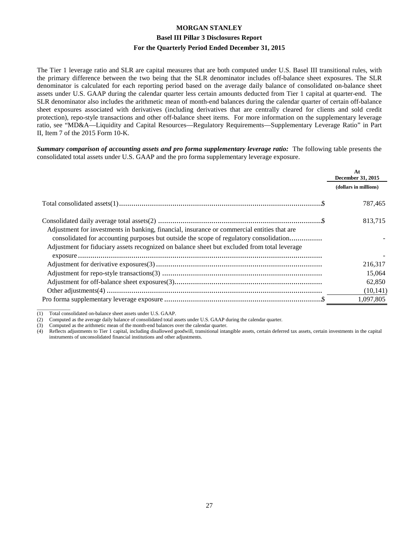The Tier 1 leverage ratio and SLR are capital measures that are both computed under U.S. Basel III transitional rules, with the primary difference between the two being that the SLR denominator includes off-balance sheet exposures. The SLR denominator is calculated for each reporting period based on the average daily balance of consolidated on-balance sheet assets under U.S. GAAP during the calendar quarter less certain amounts deducted from Tier 1 capital at quarter-end. The SLR denominator also includes the arithmetic mean of month-end balances during the calendar quarter of certain off-balance sheet exposures associated with derivatives (including derivatives that are centrally cleared for clients and sold credit protection), repo-style transactions and other off-balance sheet items. For more information on the supplementary leverage ratio, see "MD&A—Liquidity and Capital Resources—Regulatory Requirements—Supplementary Leverage Ratio" in Part II, Item 7 of the 2015 Form 10-K.

*Summary comparison of accounting assets and pro forma supplementary leverage ratio:* The following table presents the consolidated total assets under U.S. GAAP and the pro forma supplementary leverage exposure.

|                                                                                              | At<br>December 31, 2015 |
|----------------------------------------------------------------------------------------------|-------------------------|
|                                                                                              | (dollars in millions)   |
|                                                                                              | 787,465                 |
|                                                                                              | 813,715                 |
| Adjustment for investments in banking, financial, insurance or commercial entities that are  |                         |
| consolidated for accounting purposes but outside the scope of regulatory consolidation       |                         |
| Adjustment for fiduciary assets recognized on balance sheet but excluded from total leverage |                         |
|                                                                                              |                         |
|                                                                                              | 216,317                 |
|                                                                                              | 15,064                  |
|                                                                                              | 62,850                  |
|                                                                                              | (10, 141)               |
|                                                                                              | 1,097,805               |

 $\overline{\phantom{a}}$  , where  $\overline{\phantom{a}}$ (1) Total consolidated on-balance sheet assets under U.S. GAAP.

(2) Computed as the average daily balance of consolidated total assets under U.S. GAAP during the calendar quarter.

(3) Computed as the arithmetic mean of the month-end balances over the calendar quarter.

(4) Reflects adjustments to Tier 1 capital, including disallowed goodwill, transitional intangible assets, certain deferred tax assets, certain investments in the capital instruments of unconsolidated financial institutions and other adjustments.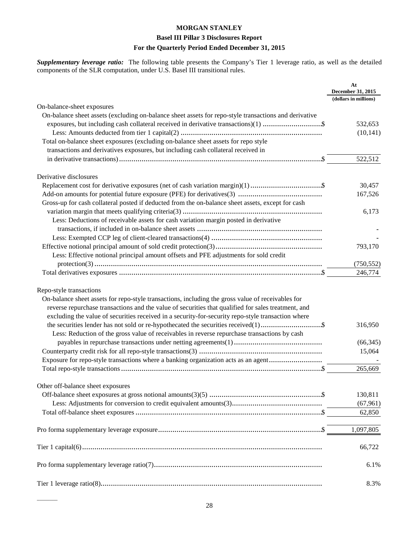# **Basel III Pillar 3 Disclosures Report**

# **For the Quarterly Period Ended December 31, 2015**

*Supplementary leverage ratio:* The following table presents the Company's Tier 1 leverage ratio, as well as the detailed components of the SLR computation, under U.S. Basel III transitional rules.

|                                                                                                                                                                                                                                                                                                                                           | At<br>December 31, 2015 |
|-------------------------------------------------------------------------------------------------------------------------------------------------------------------------------------------------------------------------------------------------------------------------------------------------------------------------------------------|-------------------------|
|                                                                                                                                                                                                                                                                                                                                           | (dollars in millions)   |
| On-balance-sheet exposures                                                                                                                                                                                                                                                                                                                |                         |
| On-balance sheet assets (excluding on-balance sheet assets for repo-style transactions and derivative                                                                                                                                                                                                                                     |                         |
| exposures, but including cash collateral received in derivative transactions)(1) \$                                                                                                                                                                                                                                                       | 532,653                 |
|                                                                                                                                                                                                                                                                                                                                           | (10, 141)               |
| Total on-balance sheet exposures (excluding on-balance sheet assets for repo style                                                                                                                                                                                                                                                        |                         |
| transactions and derivatives exposures, but including cash collateral received in                                                                                                                                                                                                                                                         |                         |
|                                                                                                                                                                                                                                                                                                                                           | 522,512                 |
| Derivative disclosures                                                                                                                                                                                                                                                                                                                    |                         |
|                                                                                                                                                                                                                                                                                                                                           | 30,457                  |
|                                                                                                                                                                                                                                                                                                                                           | 167,526                 |
| Gross-up for cash collateral posted if deducted from the on-balance sheet assets, except for cash                                                                                                                                                                                                                                         |                         |
|                                                                                                                                                                                                                                                                                                                                           | 6,173                   |
| Less: Deductions of receivable assets for cash variation margin posted in derivative                                                                                                                                                                                                                                                      |                         |
|                                                                                                                                                                                                                                                                                                                                           |                         |
|                                                                                                                                                                                                                                                                                                                                           |                         |
|                                                                                                                                                                                                                                                                                                                                           | 793,170                 |
| Less: Effective notional principal amount offsets and PFE adjustments for sold credit                                                                                                                                                                                                                                                     |                         |
|                                                                                                                                                                                                                                                                                                                                           | (750, 552)              |
|                                                                                                                                                                                                                                                                                                                                           | 246,774                 |
| Repo-style transactions<br>On-balance sheet assets for repo-style transactions, including the gross value of receivables for<br>reverse repurchase transactions and the value of securities that qualified for sales treatment, and<br>excluding the value of securities received in a security-for-security repo-style transaction where |                         |
| Less: Reduction of the gross value of receivables in reverse repurchase transactions by cash                                                                                                                                                                                                                                              | 316,950                 |
|                                                                                                                                                                                                                                                                                                                                           | (66, 345)               |
|                                                                                                                                                                                                                                                                                                                                           | 15,064                  |
| Exposure for repo-style transactions where a banking organization acts as an agent                                                                                                                                                                                                                                                        |                         |
|                                                                                                                                                                                                                                                                                                                                           | 265,669                 |
| Other off-balance sheet exposures                                                                                                                                                                                                                                                                                                         |                         |
|                                                                                                                                                                                                                                                                                                                                           | 130,811                 |
|                                                                                                                                                                                                                                                                                                                                           | (67, 961)               |
|                                                                                                                                                                                                                                                                                                                                           | 62,850                  |
|                                                                                                                                                                                                                                                                                                                                           |                         |
|                                                                                                                                                                                                                                                                                                                                           | 1,097,805               |
|                                                                                                                                                                                                                                                                                                                                           | 66,722                  |
|                                                                                                                                                                                                                                                                                                                                           | 6.1%                    |
|                                                                                                                                                                                                                                                                                                                                           | 8.3%                    |

 $\overline{\phantom{a}}$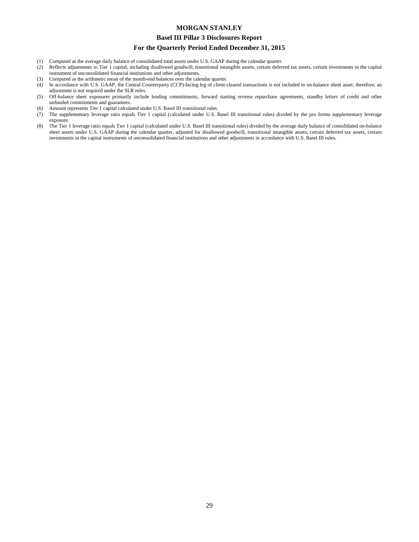#### **Basel III Pillar 3 Disclosures Report**

#### **For the Quarterly Period Ended December 31, 2015**

- (1) Computed as the average daily balance of consolidated total assets under U.S. GAAP during the calendar quarter.<br>(2) Reflects adjustments to Tier 1 capital, including disallowed goodwill, transitional intangible assets,
- Reflects adjustments to Tier 1 capital, including disallowed goodwill, transitional intangible assets, certain deferred tax assets, certain investments in the capital instrument of unconsolidated financial institutions and other adjustments.
- (3) Computed as the arithmetic mean of the month-end balances over the calendar quarter.
- (4) In accordance with U.S. GAAP, the Central Counterparty (CCP)-facing leg of client-cleared transactions is not included in on-balance sheet asset; therefore, an adjustment is not required under the SLR rules.
- (5) Off-balance sheet exposures primarily include lending commitments, forward starting reverse repurchase agreements, standby letters of credit and other unfunded commitments and guarantees.
- (6) Amount represents Tier 1 capital calculated under U.S. Basel III transitional rules.
- (7) The supplementary leverage ratio equals Tier 1 capital (calculated under U.S. Basel III transitional rules) divided by the pro forma supplementary leverage exposure.
- (8) The Tier 1 leverage ratio equals Tier 1 capital (calculated under U.S. Basel III transitional rules) divided by the average daily balance of consolidated on-balance sheet assets under U.S. GAAP during the calendar quarter, adjusted for disallowed goodwill, transitional intangible assets, certain deferred tax assets, certain investments in the capital instruments of unconsolidated financial institutions and other adjustments in accordance with U.S. Basel III rules.